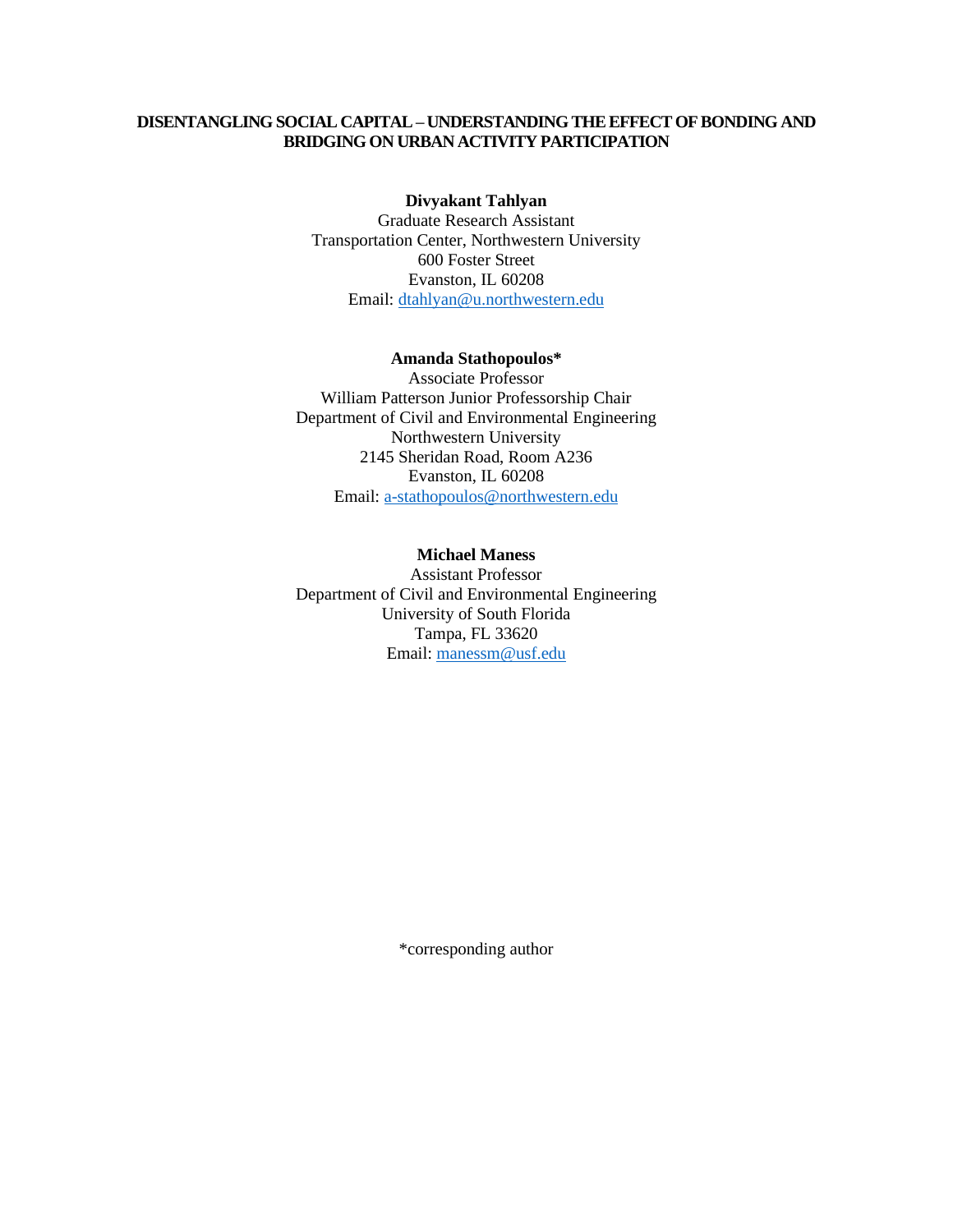# **DISENTANGLING SOCIAL CAPITAL – UNDERSTANDING THE EFFECT OF BONDING AND BRIDGING ON URBAN ACTIVITY PARTICIPATION**

#### **Divyakant Tahlyan**

Graduate Research Assistant Transportation Center, Northwestern University 600 Foster Street Evanston, IL 60208 Email: [dtahlyan@u.northwestern.edu](mailto:dtahlyan@u.northwestern.edu)

#### **Amanda Stathopoulos\***

Associate Professor William Patterson Junior Professorship Chair Department of Civil and Environmental Engineering Northwestern University 2145 Sheridan Road, Room A236 Evanston, IL 60208 Email: [a-stathopoulos@northwestern.edu](mailto:a-stathopoulos@northwestern.edu)

## **Michael Maness**

Assistant Professor Department of Civil and Environmental Engineering University of South Florida Tampa, FL 33620 Email: [manessm@usf.edu](mailto:manessm@usf.edu)

\*corresponding author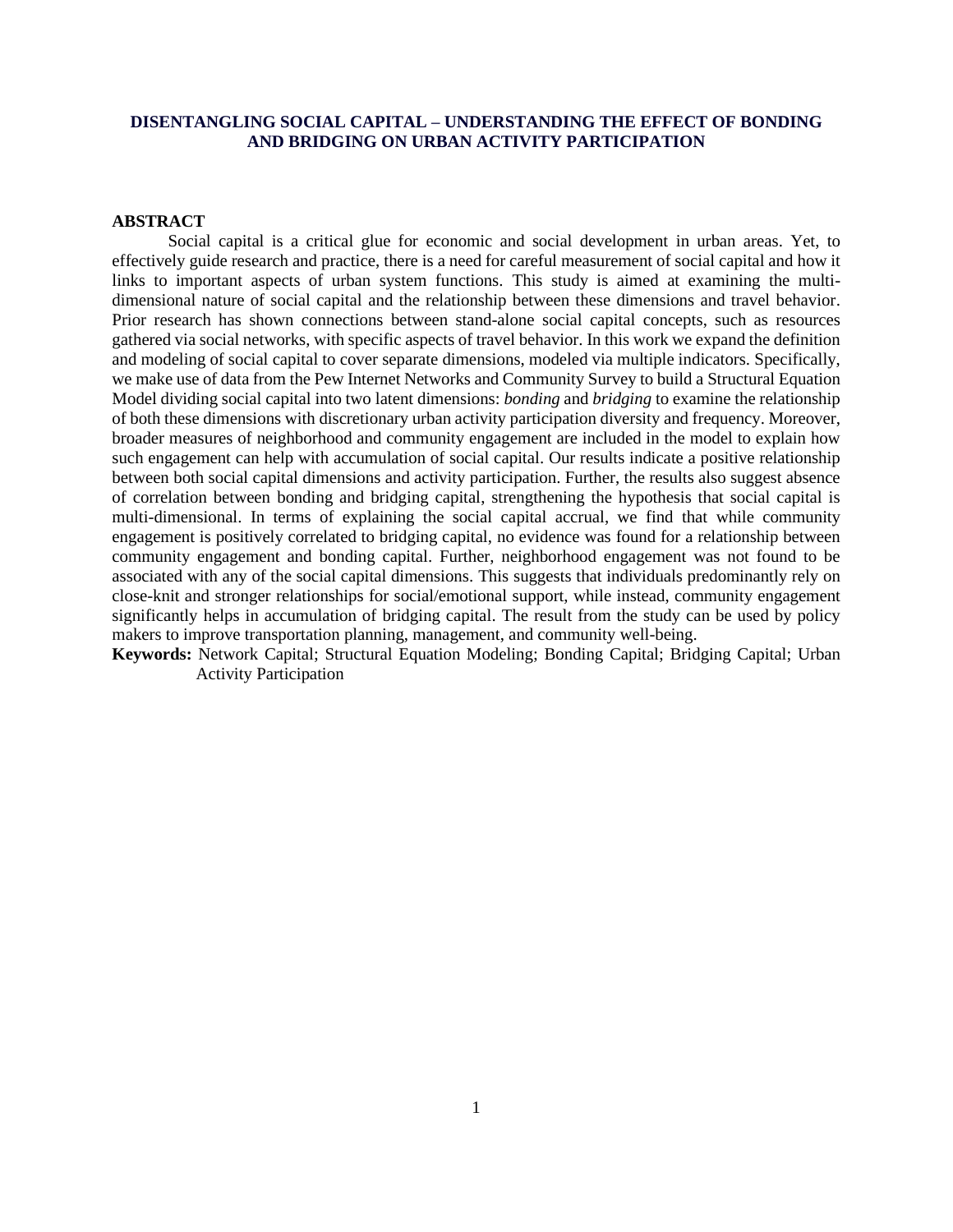# **DISENTANGLING SOCIAL CAPITAL – UNDERSTANDING THE EFFECT OF BONDING AND BRIDGING ON URBAN ACTIVITY PARTICIPATION**

#### **ABSTRACT**

Social capital is a critical glue for economic and social development in urban areas. Yet, to effectively guide research and practice, there is a need for careful measurement of social capital and how it links to important aspects of urban system functions. This study is aimed at examining the multidimensional nature of social capital and the relationship between these dimensions and travel behavior. Prior research has shown connections between stand-alone social capital concepts, such as resources gathered via social networks, with specific aspects of travel behavior. In this work we expand the definition and modeling of social capital to cover separate dimensions, modeled via multiple indicators. Specifically, we make use of data from the Pew Internet Networks and Community Survey to build a Structural Equation Model dividing social capital into two latent dimensions: *bonding* and *bridging* to examine the relationship of both these dimensions with discretionary urban activity participation diversity and frequency. Moreover, broader measures of neighborhood and community engagement are included in the model to explain how such engagement can help with accumulation of social capital. Our results indicate a positive relationship between both social capital dimensions and activity participation. Further, the results also suggest absence of correlation between bonding and bridging capital, strengthening the hypothesis that social capital is multi-dimensional. In terms of explaining the social capital accrual, we find that while community engagement is positively correlated to bridging capital, no evidence was found for a relationship between community engagement and bonding capital. Further, neighborhood engagement was not found to be associated with any of the social capital dimensions. This suggests that individuals predominantly rely on close-knit and stronger relationships for social/emotional support, while instead, community engagement significantly helps in accumulation of bridging capital. The result from the study can be used by policy makers to improve transportation planning, management, and community well-being.

**Keywords:** Network Capital; Structural Equation Modeling; Bonding Capital; Bridging Capital; Urban Activity Participation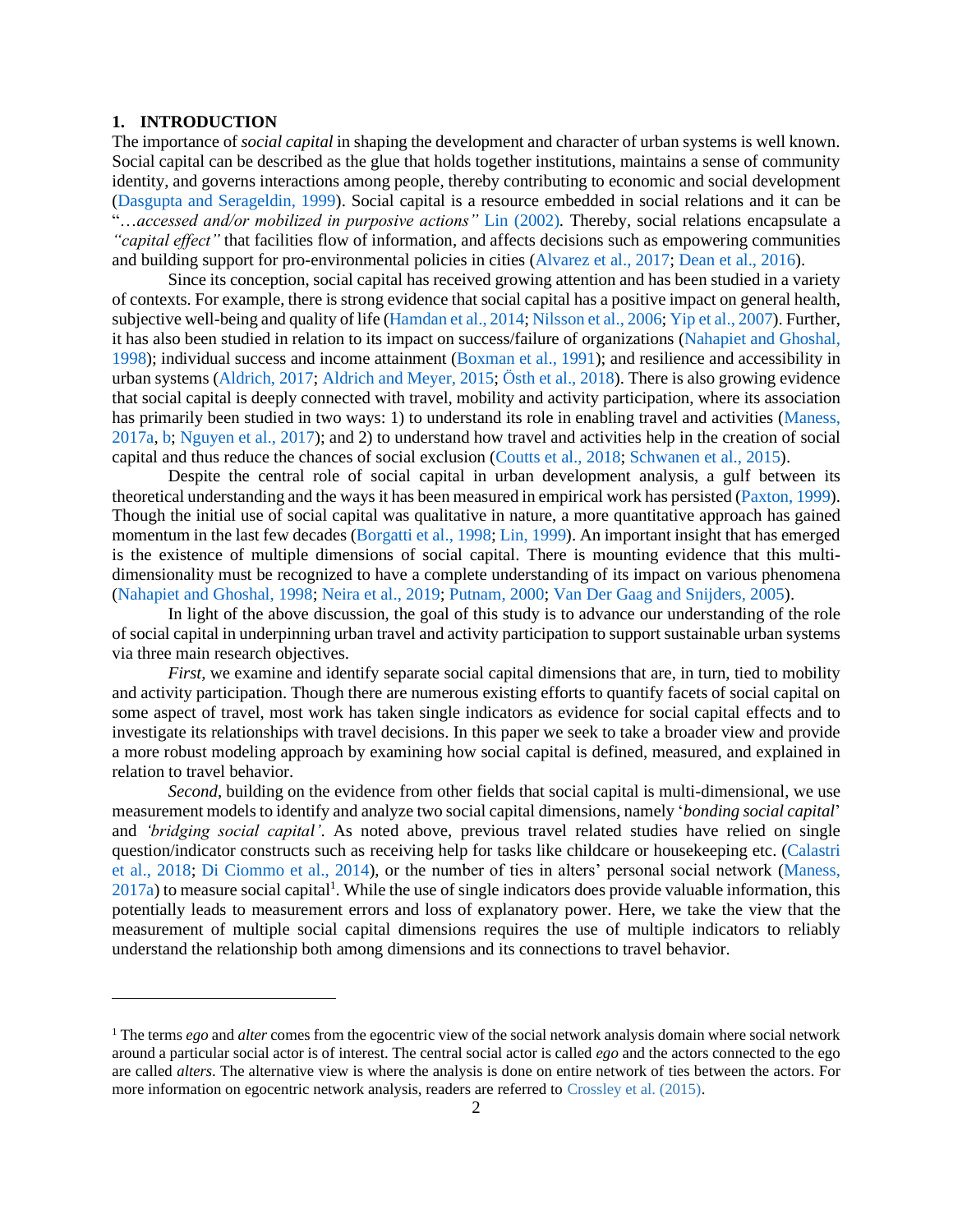#### **1. INTRODUCTION**

The importance of *social capital* in shaping the development and character of urban systems is well known. Social capital can be described as the glue that holds together institutions, maintains a sense of community identity, and governs interactions among people, thereby contributing to economic and social development [\(Dasgupta and Serageldin, 1999\)](#page-27-0). Social capital is a resource embedded in social relations and it can be "…*accessed and/or mobilized in purposive actions"* [Lin \(2002\)](#page-29-0)*.* Thereby*,* social relations encapsulate a *"capital effect"* that facilities flow of information, and affects decisions such as empowering communities and building support for pro-environmental policies in cities [\(Alvarez et al., 2017;](#page-26-0) [Dean et al., 2016\)](#page-27-1).

Since its conception, social capital has received growing attention and has been studied in a variety of contexts. For example, there is strong evidence that social capital has a positive impact on general health, subjective well-being and quality of life [\(Hamdan et al., 2014;](#page-28-0) [Nilsson et al., 2006;](#page-30-0) [Yip et al., 2007\)](#page-31-0). Further, it has also been studied in relation to its impact on success/failure of organizations [\(Nahapiet and Ghoshal,](#page-29-1)  [1998\)](#page-29-1); individual success and income attainment [\(Boxman et al., 1991\)](#page-26-1); and resilience and accessibility in urban systems [\(Aldrich, 2017;](#page-26-2) [Aldrich and Meyer, 2015;](#page-26-3) [Östh et al., 2018\)](#page-30-1). There is also growing evidence that social capital is deeply connected with travel, mobility and activity participation, where its association has primarily been studied in two ways: 1) to understand its role in enabling travel and activities [\(Maness,](#page-29-2)  [2017a,](#page-29-2) [b;](#page-29-3) [Nguyen et al., 2017\)](#page-29-4); and 2) to understand how travel and activities help in the creation of social capital and thus reduce the chances of social exclusion [\(Coutts et al., 2018;](#page-27-2) [Schwanen et al., 2015\)](#page-30-2).

Despite the central role of social capital in urban development analysis, a gulf between its theoretical understanding and the ways it has been measured in empirical work has persisted [\(Paxton, 1999\)](#page-30-3). Though the initial use of social capital was qualitative in nature, a more quantitative approach has gained momentum in the last few decades [\(Borgatti et al., 1998;](#page-26-4) [Lin, 1999\)](#page-28-1). An important insight that has emerged is the existence of multiple dimensions of social capital. There is mounting evidence that this multidimensionality must be recognized to have a complete understanding of its impact on various phenomena [\(Nahapiet and Ghoshal, 1998;](#page-29-1) [Neira et al., 2019;](#page-29-5) [Putnam, 2000;](#page-30-4) [Van Der Gaag and Snijders, 2005\)](#page-31-1).

In light of the above discussion, the goal of this study is to advance our understanding of the role of social capital in underpinning urban travel and activity participation to support sustainable urban systems via three main research objectives.

*First*, we examine and identify separate social capital dimensions that are, in turn, tied to mobility and activity participation. Though there are numerous existing efforts to quantify facets of social capital on some aspect of travel, most work has taken single indicators as evidence for social capital effects and to investigate its relationships with travel decisions. In this paper we seek to take a broader view and provide a more robust modeling approach by examining how social capital is defined, measured, and explained in relation to travel behavior.

*Second*, building on the evidence from other fields that social capital is multi-dimensional, we use measurement models to identify and analyze two social capital dimensions, namely '*bonding social capital*' and *'bridging social capital'*. As noted above, previous travel related studies have relied on single question/indicator constructs such as receiving help for tasks like childcare or housekeeping etc. [\(Calastri](#page-27-3)  [et al., 2018;](#page-27-3) [Di Ciommo et al., 2014\)](#page-27-4), or the number of ties in alters' personal social network [\(Maness,](#page-29-2)   $2017a$ ) to measure social capital<sup>1</sup>. While the use of single indicators does provide valuable information, this potentially leads to measurement errors and loss of explanatory power. Here, we take the view that the measurement of multiple social capital dimensions requires the use of multiple indicators to reliably understand the relationship both among dimensions and its connections to travel behavior.

<sup>1</sup> The terms *ego* and *alter* comes from the egocentric view of the social network analysis domain where social network around a particular social actor is of interest. The central social actor is called *ego* and the actors connected to the ego are called *alters*. The alternative view is where the analysis is done on entire network of ties between the actors. For more information on egocentric network analysis, readers are referred to Crossley et al. (2015).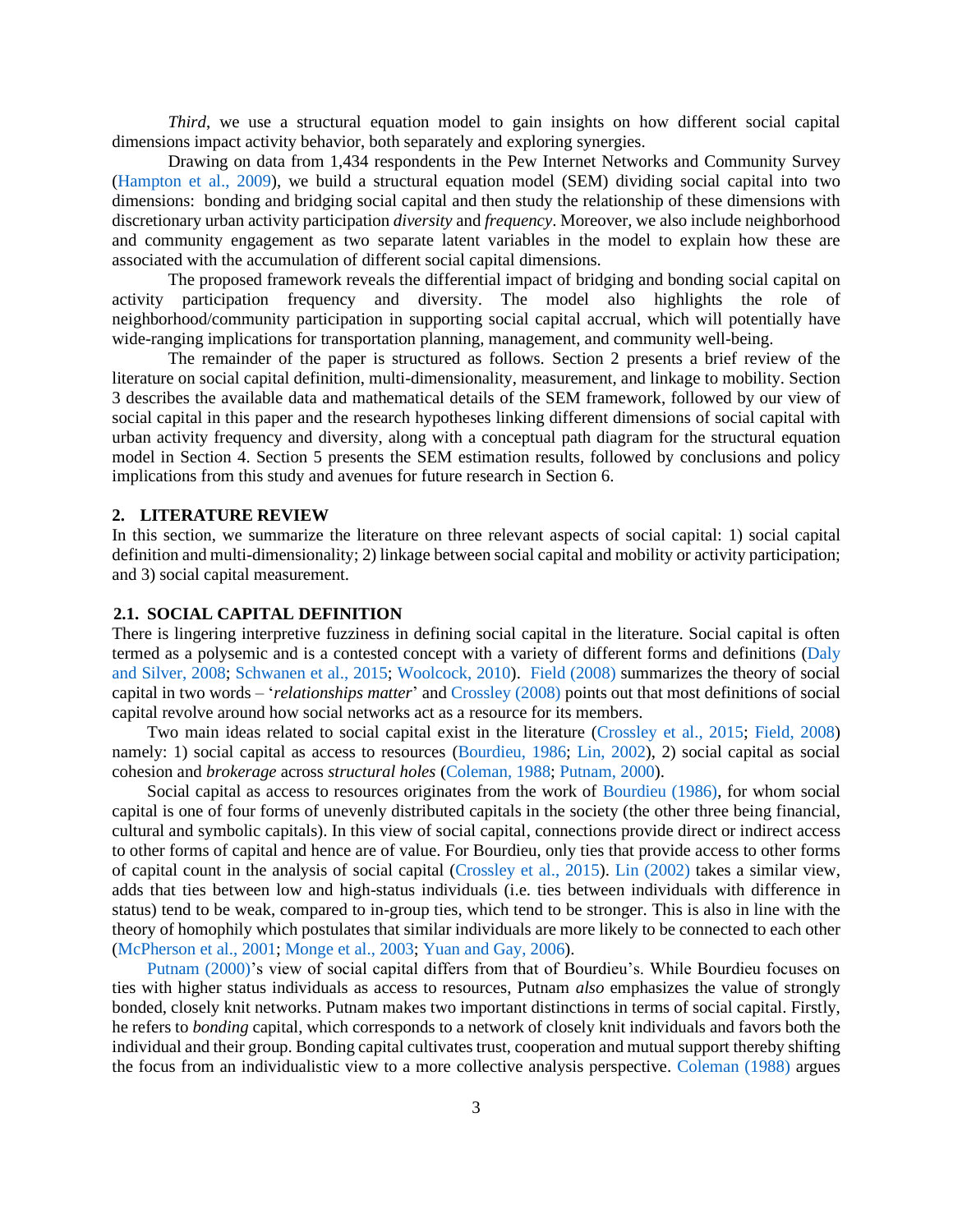*Third*, we use a structural equation model to gain insights on how different social capital dimensions impact activity behavior, both separately and exploring synergies.

Drawing on data from 1,434 respondents in the Pew Internet Networks and Community Survey [\(Hampton et al., 2009\)](#page-28-2), we build a structural equation model (SEM) dividing social capital into two dimensions: bonding and bridging social capital and then study the relationship of these dimensions with discretionary urban activity participation *diversity* and *frequency*. Moreover, we also include neighborhood and community engagement as two separate latent variables in the model to explain how these are associated with the accumulation of different social capital dimensions.

The proposed framework reveals the differential impact of bridging and bonding social capital on activity participation frequency and diversity. The model also highlights the role of neighborhood/community participation in supporting social capital accrual, which will potentially have wide-ranging implications for transportation planning, management, and community well-being.

The remainder of the paper is structured as follows. Section 2 presents a brief review of the literature on social capital definition, multi-dimensionality, measurement, and linkage to mobility. Section 3 describes the available data and mathematical details of the SEM framework, followed by our view of social capital in this paper and the research hypotheses linking different dimensions of social capital with urban activity frequency and diversity, along with a conceptual path diagram for the structural equation model in Section 4. Section 5 presents the SEM estimation results, followed by conclusions and policy implications from this study and avenues for future research in Section 6.

#### **2. LITERATURE REVIEW**

In this section, we summarize the literature on three relevant aspects of social capital: 1) social capital definition and multi-dimensionality; 2) linkage between social capital and mobility or activity participation; and 3) social capital measurement.

#### **2.1. SOCIAL CAPITAL DEFINITION**

There is lingering interpretive fuzziness in defining social capital in the literature. Social capital is often termed as a polysemic and is a contested concept with a variety of different forms and definitions [\(Daly](#page-27-5)  [and Silver, 2008;](#page-27-5) [Schwanen et al., 2015;](#page-30-2) [Woolcock, 2010\)](#page-31-2). [Field \(2008\)](#page-27-6) summarizes the theory of social capital in two words – '*relationships matter*' and [Crossley \(2008\)](#page-27-7) points out that most definitions of social capital revolve around how social networks act as a resource for its members.

Two main ideas related to social capital exist in the literature [\(Crossley et al., 2015;](#page-27-8) [Field, 2008\)](#page-27-6) namely: 1) social capital as access to resources [\(Bourdieu, 1986;](#page-26-5) [Lin, 2002\)](#page-29-0), 2) social capital as social cohesion and *brokerage* across *structural holes* [\(Coleman, 1988;](#page-27-9) [Putnam, 2000\)](#page-30-4).

Social capital as access to resources originates from the work of [Bourdieu \(1986\),](#page-26-5) for whom social capital is one of four forms of unevenly distributed capitals in the society (the other three being financial, cultural and symbolic capitals). In this view of social capital, connections provide direct or indirect access to other forms of capital and hence are of value. For Bourdieu, only ties that provide access to other forms of capital count in the analysis of social capital [\(Crossley et al., 2015\)](#page-27-8). [Lin \(2002\)](#page-29-0) takes a similar view, adds that ties between low and high-status individuals (i.e. ties between individuals with difference in status) tend to be weak, compared to in-group ties, which tend to be stronger. This is also in line with the theory of homophily which postulates that similar individuals are more likely to be connected to each other [\(McPherson et al., 2001;](#page-29-6) [Monge et al., 2003;](#page-29-7) [Yuan and Gay, 2006\)](#page-32-0).

[Putnam \(2000\)'](#page-30-4)s view of social capital differs from that of Bourdieu's. While Bourdieu focuses on ties with higher status individuals as access to resources, Putnam *also* emphasizes the value of strongly bonded, closely knit networks. Putnam makes two important distinctions in terms of social capital. Firstly, he refers to *bonding* capital, which corresponds to a network of closely knit individuals and favors both the individual and their group. Bonding capital cultivates trust, cooperation and mutual support thereby shifting the focus from an individualistic view to a more collective analysis perspective. [Coleman \(1988\)](#page-27-9) argues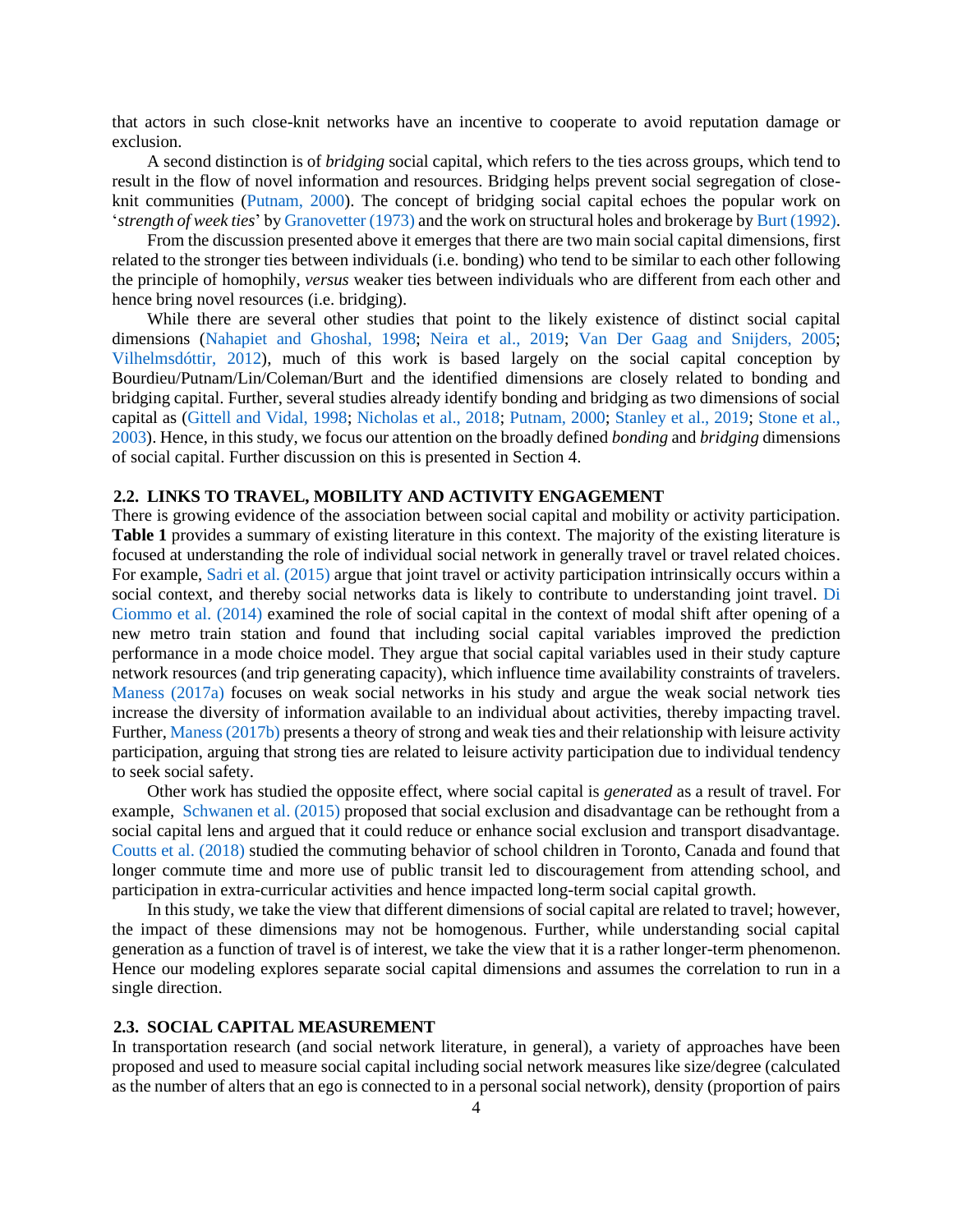that actors in such close-knit networks have an incentive to cooperate to avoid reputation damage or exclusion.

A second distinction is of *bridging* social capital, which refers to the ties across groups, which tend to result in the flow of novel information and resources. Bridging helps prevent social segregation of closeknit communities [\(Putnam, 2000\)](#page-30-4). The concept of bridging social capital echoes the popular work on '*strength of week ties*' b[y Granovetter \(1973\)](#page-28-3) and the work on structural holes and brokerage b[y Burt \(1992\).](#page-26-6)

From the discussion presented above it emerges that there are two main social capital dimensions, first related to the stronger ties between individuals (i.e. bonding) who tend to be similar to each other following the principle of homophily, *versus* weaker ties between individuals who are different from each other and hence bring novel resources (i.e. bridging).

While there are several other studies that point to the likely existence of distinct social capital dimensions [\(Nahapiet and Ghoshal, 1998;](#page-29-1) [Neira et al., 2019;](#page-29-5) [Van Der Gaag and Snijders, 2005;](#page-31-1) [Vilhelmsdóttir, 2012\)](#page-31-3), much of this work is based largely on the social capital conception by Bourdieu/Putnam/Lin/Coleman/Burt and the identified dimensions are closely related to bonding and bridging capital. Further, several studies already identify bonding and bridging as two dimensions of social capital as [\(Gittell and Vidal, 1998;](#page-28-4) [Nicholas et al., 2018;](#page-30-5) [Putnam, 2000;](#page-30-4) [Stanley et al., 2019;](#page-31-4) [Stone et al.,](#page-31-5)  [2003\)](#page-31-5). Hence, in this study, we focus our attention on the broadly defined *bonding* and *bridging* dimensions of social capital. Further discussion on this is presented in Section 4.

#### **2.2. LINKS TO TRAVEL, MOBILITY AND ACTIVITY ENGAGEMENT**

There is growing evidence of the association between social capital and mobility or activity participation. **Table 1** provides a summary of existing literature in this context. The majority of the existing literature is focused at understanding the role of individual social network in generally travel or travel related choices. For example[, Sadri et al. \(2015\)](#page-30-6) argue that joint travel or activity participation intrinsically occurs within a social context, and thereby social networks data is likely to contribute to understanding joint travel. [Di](#page-27-4)  Ciommo et al. (2014) examined the role of social capital in the context of modal shift after opening of a new metro train station and found that including social capital variables improved the prediction performance in a mode choice model. They argue that social capital variables used in their study capture network resources (and trip generating capacity), which influence time availability constraints of travelers. [Maness \(2017a\)](#page-29-2) focuses on weak social networks in his study and argue the weak social network ties increase the diversity of information available to an individual about activities, thereby impacting travel. Further, [Maness \(2017b\)](#page-29-3) presents a theory of strong and weak ties and their relationship with leisure activity participation, arguing that strong ties are related to leisure activity participation due to individual tendency to seek social safety.

Other work has studied the opposite effect, where social capital is *generated* as a result of travel. For example, [Schwanen et al. \(2015\)](#page-30-2) proposed that social exclusion and disadvantage can be rethought from a social capital lens and argued that it could reduce or enhance social exclusion and transport disadvantage. Coutts [et al. \(2018\)](#page-27-2) studied the commuting behavior of school children in Toronto, Canada and found that longer commute time and more use of public transit led to discouragement from attending school, and participation in extra-curricular activities and hence impacted long-term social capital growth.

In this study, we take the view that different dimensions of social capital are related to travel; however, the impact of these dimensions may not be homogenous. Further, while understanding social capital generation as a function of travel is of interest, we take the view that it is a rather longer-term phenomenon. Hence our modeling explores separate social capital dimensions and assumes the correlation to run in a single direction.

#### **2.3. SOCIAL CAPITAL MEASUREMENT**

In transportation research (and social network literature, in general), a variety of approaches have been proposed and used to measure social capital including social network measures like size/degree (calculated as the number of alters that an ego is connected to in a personal social network), density (proportion of pairs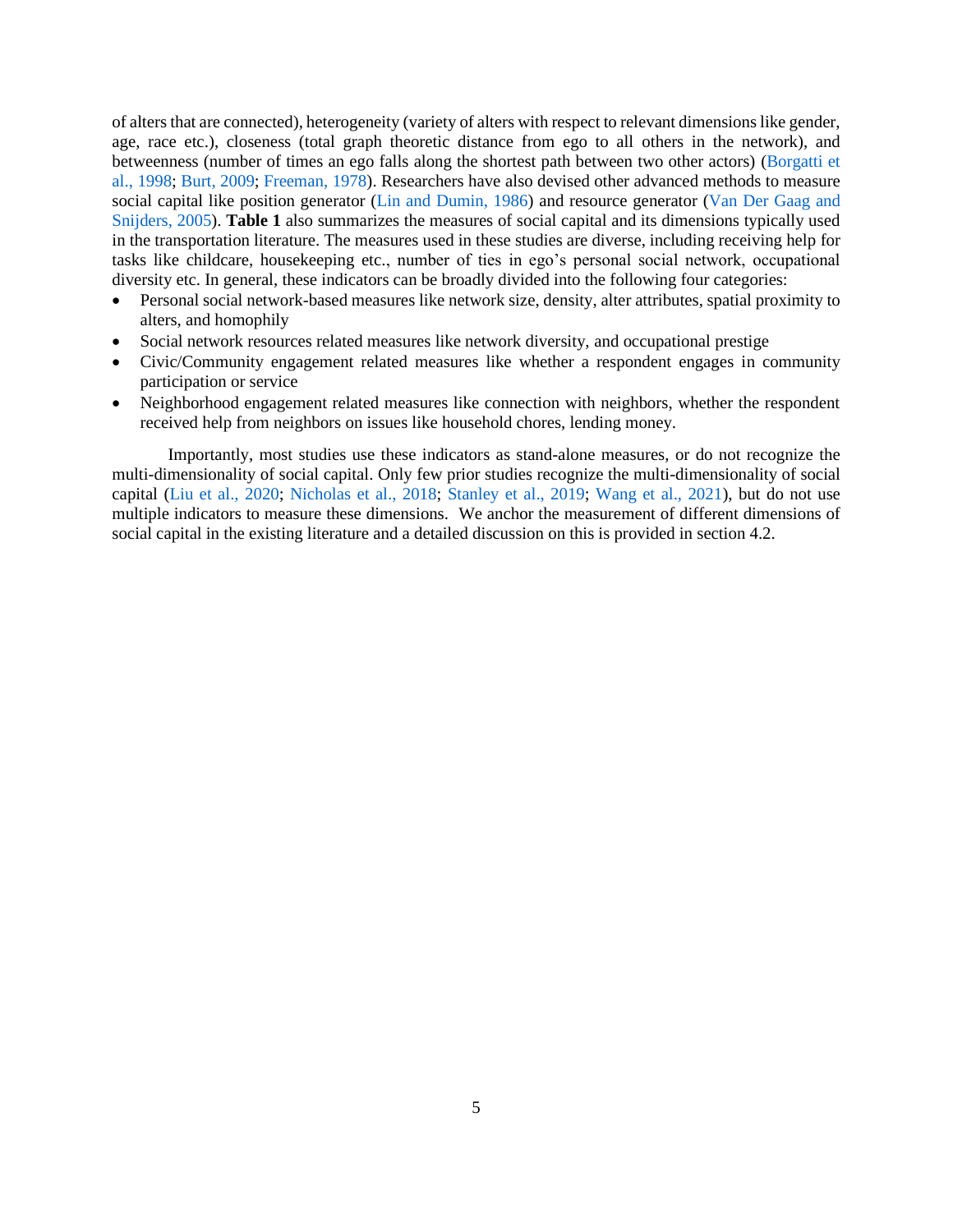of alters that are connected), heterogeneity (variety of alters with respect to relevant dimensions like gender, age, race etc.), closeness (total graph theoretic distance from ego to all others in the network), and betweenness (number of times an ego falls along the shortest path between two other actors) [\(Borgatti et](#page-26-4)  [al., 1998;](#page-26-4) [Burt, 2009;](#page-26-7) [Freeman, 1978\)](#page-28-5). Researchers have also devised other advanced methods to measure social capital like position generator [\(Lin and Dumin, 1986\)](#page-29-8) and resource generator [\(Van Der Gaag and](#page-31-1)  [Snijders, 2005\)](#page-31-1). **Table 1** also summarizes the measures of social capital and its dimensions typically used in the transportation literature. The measures used in these studies are diverse, including receiving help for tasks like childcare, housekeeping etc., number of ties in ego's personal social network, occupational diversity etc. In general, these indicators can be broadly divided into the following four categories:

- Personal social network-based measures like network size, density, alter attributes, spatial proximity to alters, and homophily
- Social network resources related measures like network diversity, and occupational prestige
- Civic/Community engagement related measures like whether a respondent engages in community participation or service
- Neighborhood engagement related measures like connection with neighbors, whether the respondent received help from neighbors on issues like household chores, lending money.

Importantly, most studies use these indicators as stand-alone measures, or do not recognize the multi-dimensionality of social capital. Only few prior studies recognize the multi-dimensionality of social capital [\(Liu et al., 2020;](#page-29-9) [Nicholas et al., 2018;](#page-30-5) [Stanley et al., 2019;](#page-31-4) [Wang et al., 2021\)](#page-31-6), but do not use multiple indicators to measure these dimensions. We anchor the measurement of different dimensions of social capital in the existing literature and a detailed discussion on this is provided in section 4.2.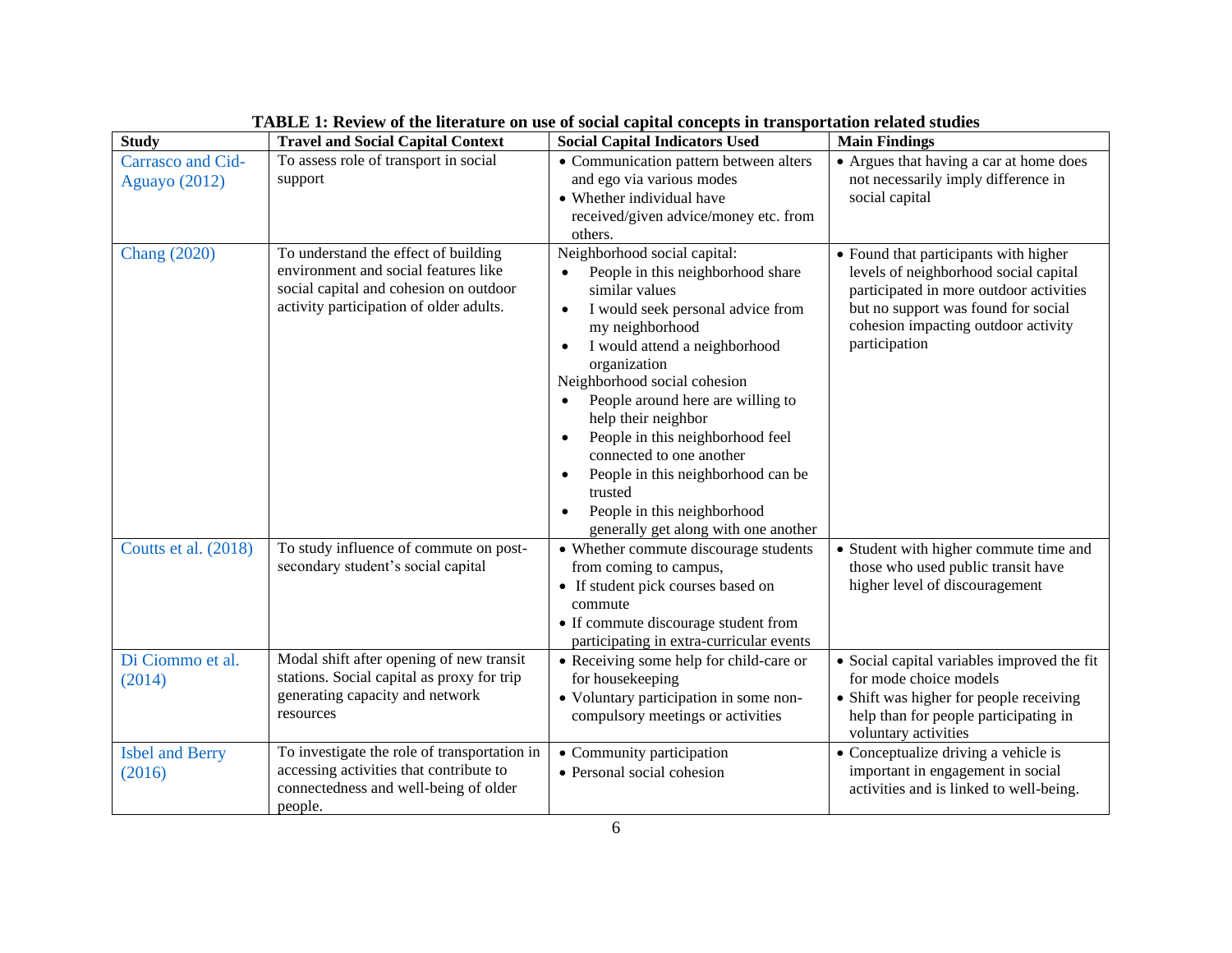| <b>Study</b>                              | <b>Travel and Social Capital Context</b>                                                                                                                          | <b>Social Capital Indicators Used</b>                                                                                                                                                                                                                                                                                                                                                                                                                                                                                                                          | <b>Main Findings</b>                                                                                                                                                                                                     |
|-------------------------------------------|-------------------------------------------------------------------------------------------------------------------------------------------------------------------|----------------------------------------------------------------------------------------------------------------------------------------------------------------------------------------------------------------------------------------------------------------------------------------------------------------------------------------------------------------------------------------------------------------------------------------------------------------------------------------------------------------------------------------------------------------|--------------------------------------------------------------------------------------------------------------------------------------------------------------------------------------------------------------------------|
| Carrasco and Cid-<br><b>Aguayo</b> (2012) | To assess role of transport in social<br>support                                                                                                                  | • Communication pattern between alters<br>and ego via various modes<br>• Whether individual have<br>received/given advice/money etc. from<br>others.                                                                                                                                                                                                                                                                                                                                                                                                           | • Argues that having a car at home does<br>not necessarily imply difference in<br>social capital                                                                                                                         |
| <b>Chang</b> (2020)                       | To understand the effect of building<br>environment and social features like<br>social capital and cohesion on outdoor<br>activity participation of older adults. | Neighborhood social capital:<br>People in this neighborhood share<br>similar values<br>I would seek personal advice from<br>$\bullet$<br>my neighborhood<br>I would attend a neighborhood<br>$\bullet$<br>organization<br>Neighborhood social cohesion<br>People around here are willing to<br>$\bullet$<br>help their neighbor<br>People in this neighborhood feel<br>$\bullet$<br>connected to one another<br>People in this neighborhood can be<br>$\bullet$<br>trusted<br>People in this neighborhood<br>$\bullet$<br>generally get along with one another | • Found that participants with higher<br>levels of neighborhood social capital<br>participated in more outdoor activities<br>but no support was found for social<br>cohesion impacting outdoor activity<br>participation |
| Coutts et al. (2018)                      | To study influence of commute on post-<br>secondary student's social capital                                                                                      | • Whether commute discourage students<br>from coming to campus,<br>• If student pick courses based on<br>commute<br>• If commute discourage student from<br>participating in extra-curricular events                                                                                                                                                                                                                                                                                                                                                           | • Student with higher commute time and<br>those who used public transit have<br>higher level of discouragement                                                                                                           |
| Di Ciommo et al.<br>(2014)                | Modal shift after opening of new transit<br>stations. Social capital as proxy for trip<br>generating capacity and network<br>resources                            | • Receiving some help for child-care or<br>for housekeeping<br>• Voluntary participation in some non-<br>compulsory meetings or activities                                                                                                                                                                                                                                                                                                                                                                                                                     | • Social capital variables improved the fit<br>for mode choice models<br>• Shift was higher for people receiving<br>help than for people participating in<br>voluntary activities                                        |
| <b>Isbel and Berry</b><br>(2016)          | To investigate the role of transportation in<br>accessing activities that contribute to<br>connectedness and well-being of older<br>people.                       | • Community participation<br>• Personal social cohesion                                                                                                                                                                                                                                                                                                                                                                                                                                                                                                        | • Conceptualize driving a vehicle is<br>important in engagement in social<br>activities and is linked to well-being.                                                                                                     |

| TABLE 1: Review of the literature on use of social capital concepts in transportation related studies |
|-------------------------------------------------------------------------------------------------------|
|                                                                                                       |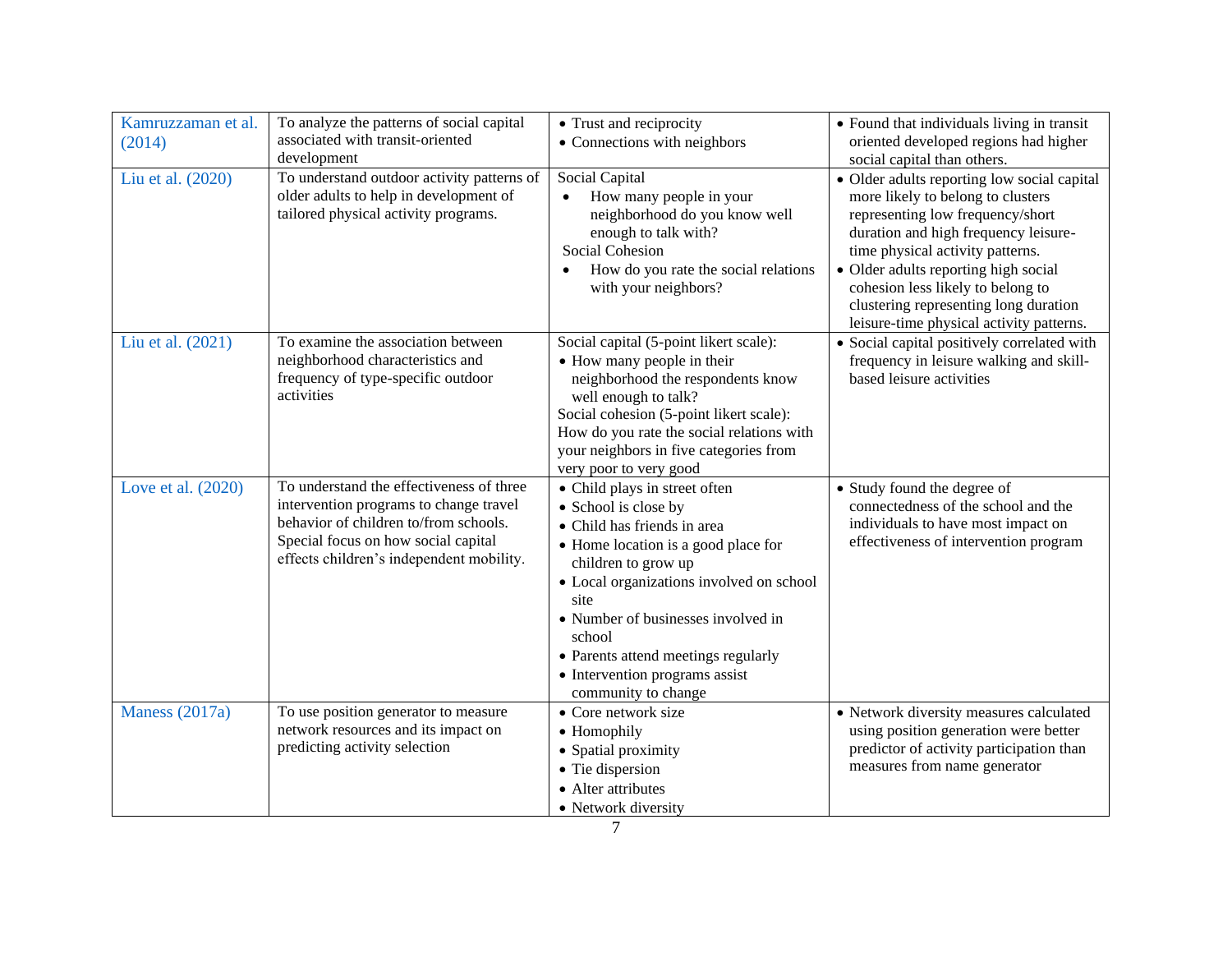| Kamruzzaman et al.<br>(2014) | To analyze the patterns of social capital<br>associated with transit-oriented<br>development                                                                                                                   | • Trust and reciprocity<br>• Connections with neighbors                                                                                                                                                                                                                                                                                                | • Found that individuals living in transit<br>oriented developed regions had higher<br>social capital than others.                                                                                                                                                                                                                                                 |
|------------------------------|----------------------------------------------------------------------------------------------------------------------------------------------------------------------------------------------------------------|--------------------------------------------------------------------------------------------------------------------------------------------------------------------------------------------------------------------------------------------------------------------------------------------------------------------------------------------------------|--------------------------------------------------------------------------------------------------------------------------------------------------------------------------------------------------------------------------------------------------------------------------------------------------------------------------------------------------------------------|
| Liu et al. (2020)            | To understand outdoor activity patterns of<br>older adults to help in development of<br>tailored physical activity programs.                                                                                   | Social Capital<br>How many people in your<br>neighborhood do you know well<br>enough to talk with?<br><b>Social Cohesion</b><br>How do you rate the social relations<br>with your neighbors?                                                                                                                                                           | • Older adults reporting low social capital<br>more likely to belong to clusters<br>representing low frequency/short<br>duration and high frequency leisure-<br>time physical activity patterns.<br>• Older adults reporting high social<br>cohesion less likely to belong to<br>clustering representing long duration<br>leisure-time physical activity patterns. |
| Liu et al. (2021)            | To examine the association between<br>neighborhood characteristics and<br>frequency of type-specific outdoor<br>activities                                                                                     | Social capital (5-point likert scale):<br>• How many people in their<br>neighborhood the respondents know<br>well enough to talk?<br>Social cohesion (5-point likert scale):<br>How do you rate the social relations with<br>your neighbors in five categories from<br>very poor to very good                                                          | • Social capital positively correlated with<br>frequency in leisure walking and skill-<br>based leisure activities                                                                                                                                                                                                                                                 |
| Love et al. (2020)           | To understand the effectiveness of three<br>intervention programs to change travel<br>behavior of children to/from schools.<br>Special focus on how social capital<br>effects children's independent mobility. | • Child plays in street often<br>• School is close by<br>• Child has friends in area<br>• Home location is a good place for<br>children to grow up<br>• Local organizations involved on school<br>site<br>• Number of businesses involved in<br>school<br>• Parents attend meetings regularly<br>• Intervention programs assist<br>community to change | • Study found the degree of<br>connectedness of the school and the<br>individuals to have most impact on<br>effectiveness of intervention program                                                                                                                                                                                                                  |
| Maness (2017a)               | To use position generator to measure<br>network resources and its impact on<br>predicting activity selection                                                                                                   | • Core network size<br>• Homophily<br>• Spatial proximity<br>• Tie dispersion<br>• Alter attributes<br>• Network diversity                                                                                                                                                                                                                             | • Network diversity measures calculated<br>using position generation were better<br>predictor of activity participation than<br>measures from name generator                                                                                                                                                                                                       |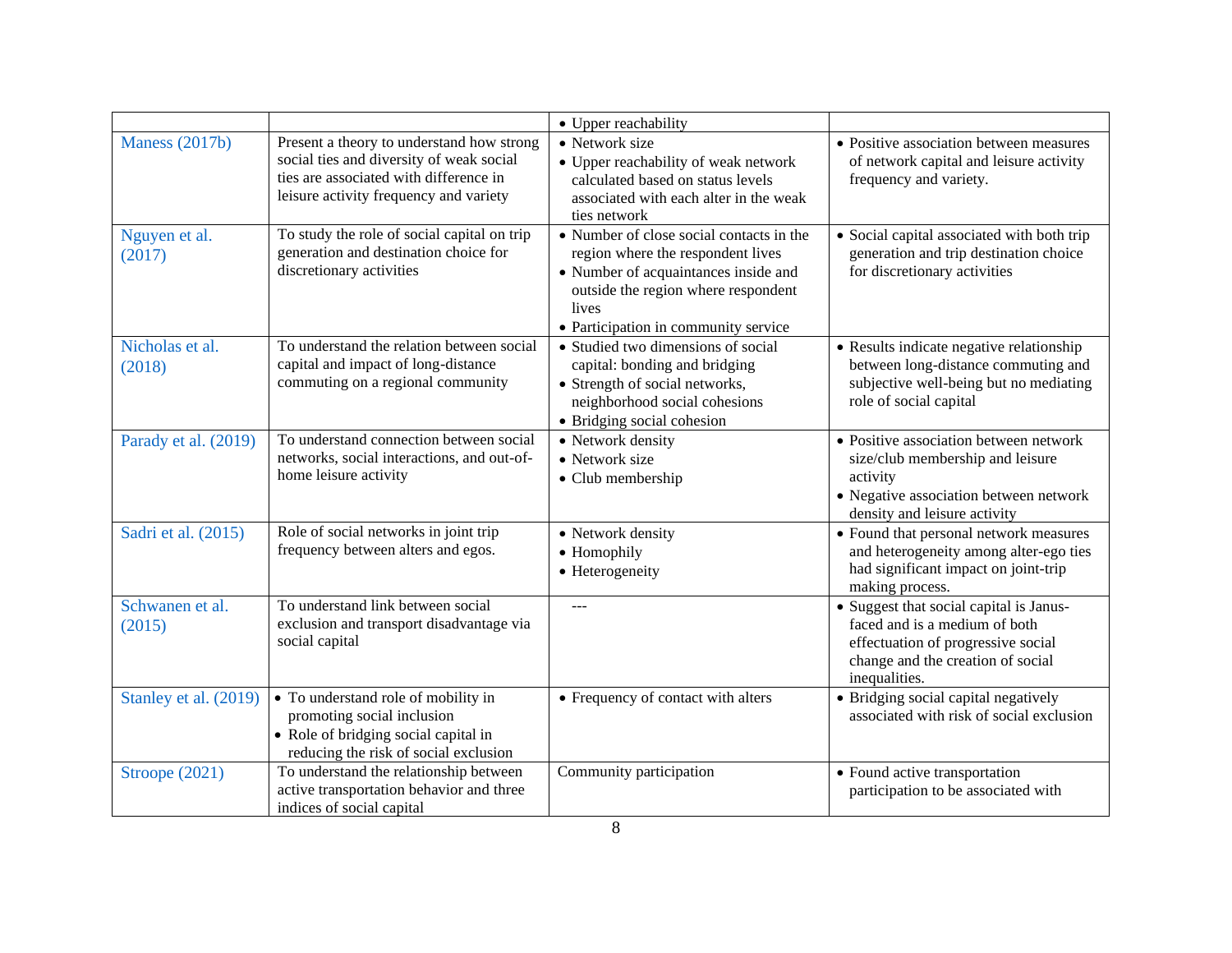|                           |                                                                                                                                                                           | • Upper reachability                                                                                                                                                                                          |                                                                                                                                                                      |
|---------------------------|---------------------------------------------------------------------------------------------------------------------------------------------------------------------------|---------------------------------------------------------------------------------------------------------------------------------------------------------------------------------------------------------------|----------------------------------------------------------------------------------------------------------------------------------------------------------------------|
| Maness (2017b)            | Present a theory to understand how strong<br>social ties and diversity of weak social<br>ties are associated with difference in<br>leisure activity frequency and variety | • Network size<br>• Upper reachability of weak network<br>calculated based on status levels<br>associated with each alter in the weak<br>ties network                                                         | • Positive association between measures<br>of network capital and leisure activity<br>frequency and variety.                                                         |
| Nguyen et al.<br>(2017)   | To study the role of social capital on trip<br>generation and destination choice for<br>discretionary activities                                                          | • Number of close social contacts in the<br>region where the respondent lives<br>• Number of acquaintances inside and<br>outside the region where respondent<br>lives<br>• Participation in community service | • Social capital associated with both trip<br>generation and trip destination choice<br>for discretionary activities                                                 |
| Nicholas et al.<br>(2018) | To understand the relation between social<br>capital and impact of long-distance<br>commuting on a regional community                                                     | • Studied two dimensions of social<br>capital: bonding and bridging<br>• Strength of social networks,<br>neighborhood social cohesions<br>• Bridging social cohesion                                          | • Results indicate negative relationship<br>between long-distance commuting and<br>subjective well-being but no mediating<br>role of social capital                  |
| Parady et al. (2019)      | To understand connection between social<br>networks, social interactions, and out-of-<br>home leisure activity                                                            | • Network density<br>• Network size<br>• Club membership                                                                                                                                                      | • Positive association between network<br>size/club membership and leisure<br>activity<br>• Negative association between network<br>density and leisure activity     |
| Sadri et al. (2015)       | Role of social networks in joint trip<br>frequency between alters and egos.                                                                                               | • Network density<br>• Homophily<br>• Heterogeneity                                                                                                                                                           | • Found that personal network measures<br>and heterogeneity among alter-ego ties<br>had significant impact on joint-trip<br>making process.                          |
| Schwanen et al.<br>(2015) | To understand link between social<br>exclusion and transport disadvantage via<br>social capital                                                                           |                                                                                                                                                                                                               | • Suggest that social capital is Janus-<br>faced and is a medium of both<br>effectuation of progressive social<br>change and the creation of social<br>inequalities. |
| Stanley et al. (2019)     | • To understand role of mobility in<br>promoting social inclusion<br>• Role of bridging social capital in<br>reducing the risk of social exclusion                        | • Frequency of contact with alters                                                                                                                                                                            | • Bridging social capital negatively<br>associated with risk of social exclusion                                                                                     |
| Stroope (2021)            | To understand the relationship between<br>active transportation behavior and three<br>indices of social capital                                                           | Community participation                                                                                                                                                                                       | • Found active transportation<br>participation to be associated with                                                                                                 |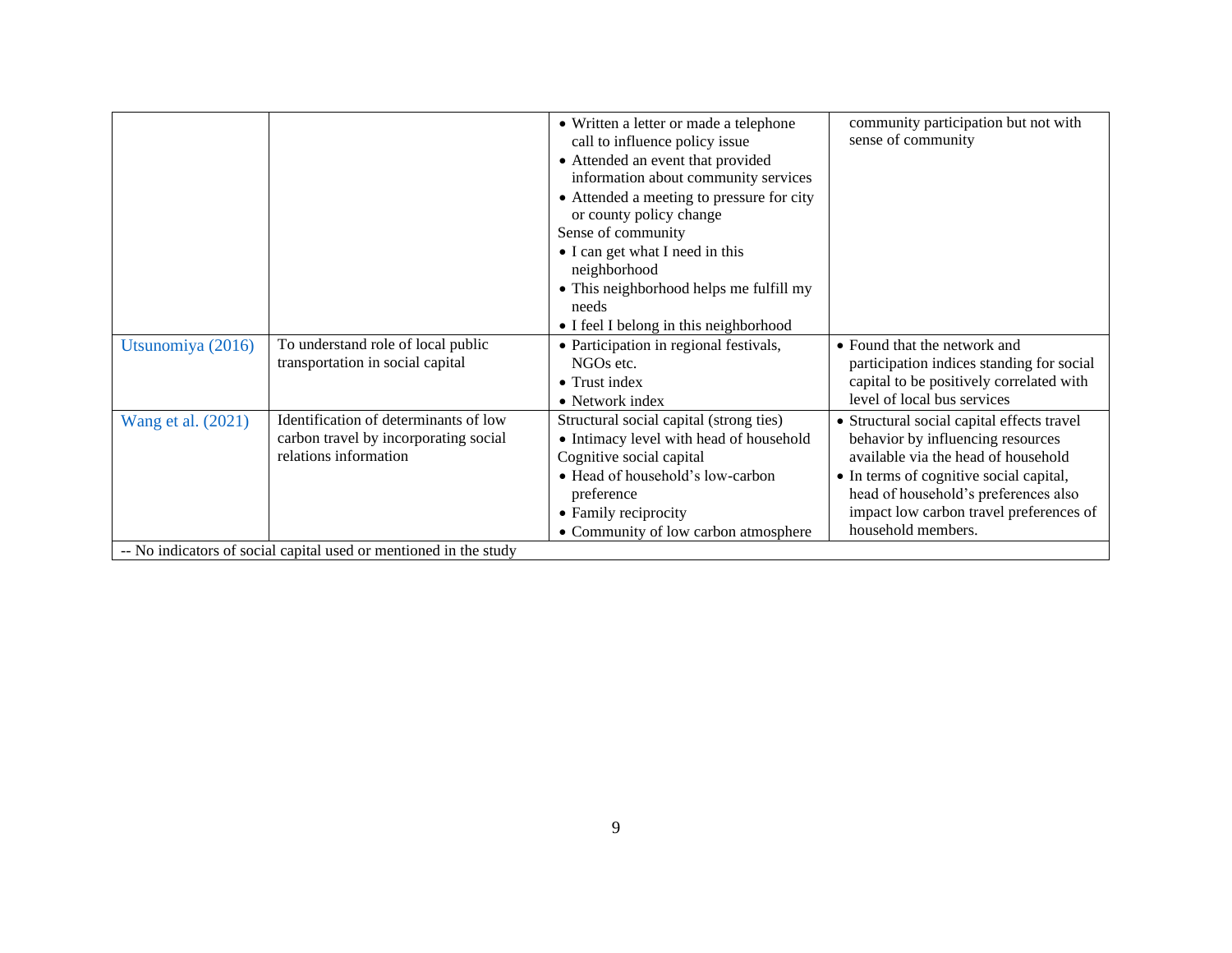|                    |                                                                   | • Written a letter or made a telephone    | community participation but not with       |
|--------------------|-------------------------------------------------------------------|-------------------------------------------|--------------------------------------------|
|                    |                                                                   |                                           | sense of community                         |
|                    |                                                                   | call to influence policy issue            |                                            |
|                    |                                                                   | • Attended an event that provided         |                                            |
|                    |                                                                   | information about community services      |                                            |
|                    |                                                                   | • Attended a meeting to pressure for city |                                            |
|                    |                                                                   | or county policy change                   |                                            |
|                    |                                                                   | Sense of community                        |                                            |
|                    |                                                                   | • I can get what I need in this           |                                            |
|                    |                                                                   | neighborhood                              |                                            |
|                    |                                                                   | • This neighborhood helps me fulfill my   |                                            |
|                    |                                                                   | needs                                     |                                            |
|                    |                                                                   | • I feel I belong in this neighborhood    |                                            |
| Utsunomiya (2016)  | To understand role of local public                                | • Participation in regional festivals,    | • Found that the network and               |
|                    | transportation in social capital                                  | NGOs etc.                                 | participation indices standing for social  |
|                    |                                                                   | $\bullet$ Trust index                     | capital to be positively correlated with   |
|                    |                                                                   | • Network index                           | level of local bus services                |
| Wang et al. (2021) | Identification of determinants of low                             | Structural social capital (strong ties)   | • Structural social capital effects travel |
|                    | carbon travel by incorporating social                             | • Intimacy level with head of household   | behavior by influencing resources          |
|                    | relations information                                             | Cognitive social capital                  | available via the head of household        |
|                    |                                                                   | • Head of household's low-carbon          | • In terms of cognitive social capital,    |
|                    |                                                                   | preference                                | head of household's preferences also       |
|                    |                                                                   | • Family reciprocity                      | impact low carbon travel preferences of    |
|                    |                                                                   |                                           | household members.                         |
|                    |                                                                   | • Community of low carbon atmosphere      |                                            |
|                    | -- No indicators of social capital used or mentioned in the study |                                           |                                            |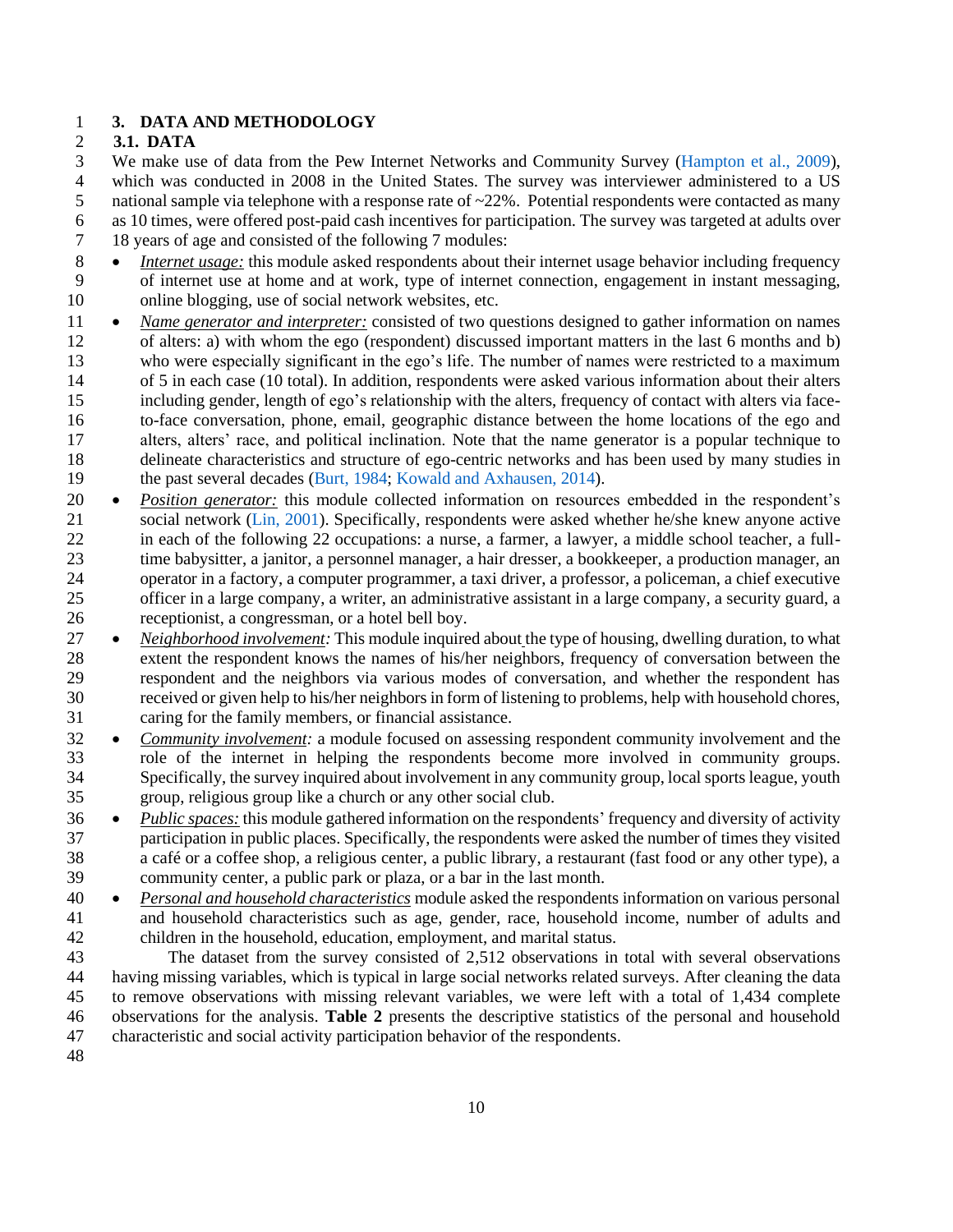# **3. DATA AND METHODOLOGY**

# **3.1. DATA**

We make use of data from the Pew Internet Networks and Community Survey [\(Hampton et al., 2009\)](#page-28-2),

 which was conducted in 2008 in the United States. The survey was interviewer administered to a US 5 national sample via telephone with a response rate of  $\sim$  22%. Potential respondents were contacted as many

as 10 times, were offered post-paid cash incentives for participation. The survey was targeted at adults over

18 years of age and consisted of the following 7 modules:

- 8 *Internet usage:* this module asked respondents about their internet usage behavior including frequency of internet use at home and at work, type of internet connection, engagement in instant messaging, online blogging, use of social network websites, etc.
- *Name generator and interpreter:* consisted of two questions designed to gather information on names of alters: a) with whom the ego (respondent) discussed important matters in the last 6 months and b) who were especially significant in the ego's life. The number of names were restricted to a maximum of 5 in each case (10 total). In addition, respondents were asked various information about their alters including gender, length of ego's relationship with the alters, frequency of contact with alters via face- to-face conversation, phone, email, geographic distance between the home locations of the ego and alters, alters' race, and political inclination. Note that the name generator is a popular technique to delineate characteristics and structure of ego-centric networks and has been used by many studies in the past several decades [\(Burt, 1984;](#page-26-8) [Kowald and Axhausen, 2014\)](#page-28-8).
- *Position generator:* this module collected information on resources embedded in the respondent's social network [\(Lin, 2001\)](#page-28-9). Specifically, respondents were asked whether he/she knew anyone active in each of the following 22 occupations: a nurse, a farmer, a lawyer, a middle school teacher, a full- time babysitter, a janitor, a personnel manager, a hair dresser, a bookkeeper, a production manager, an operator in a factory, a computer programmer, a taxi driver, a professor, a policeman, a chief executive officer in a large company, a writer, an administrative assistant in a large company, a security guard, a receptionist, a congressman, or a hotel bell boy.
- *Neighborhood involvement:* This module inquired about the type of housing, dwelling duration, to what extent the respondent knows the names of his/her neighbors, frequency of conversation between the respondent and the neighbors via various modes of conversation, and whether the respondent has received or given help to his/her neighbors in form of listening to problems, help with household chores, caring for the family members, or financial assistance.
- *Community involvement:* a module focused on assessing respondent community involvement and the role of the internet in helping the respondents become more involved in community groups. Specifically, the survey inquired about involvement in any community group, local sports league, youth group, religious group like a church or any other social club.
- *Public spaces:* this module gathered information on the respondents' frequency and diversity of activity participation in public places. Specifically, the respondents were asked the number of times they visited a café or a coffee shop, a religious center, a public library, a restaurant (fast food or any other type), a community center, a public park or plaza, or a bar in the last month.
- *Personal and household characteristics* module asked the respondents information on various personal and household characteristics such as age, gender, race, household income, number of adults and children in the household, education, employment, and marital status.

 The dataset from the survey consisted of 2,512 observations in total with several observations having missing variables, which is typical in large social networks related surveys. After cleaning the data to remove observations with missing relevant variables, we were left with a total of 1,434 complete observations for the analysis. **Table 2** presents the descriptive statistics of the personal and household characteristic and social activity participation behavior of the respondents.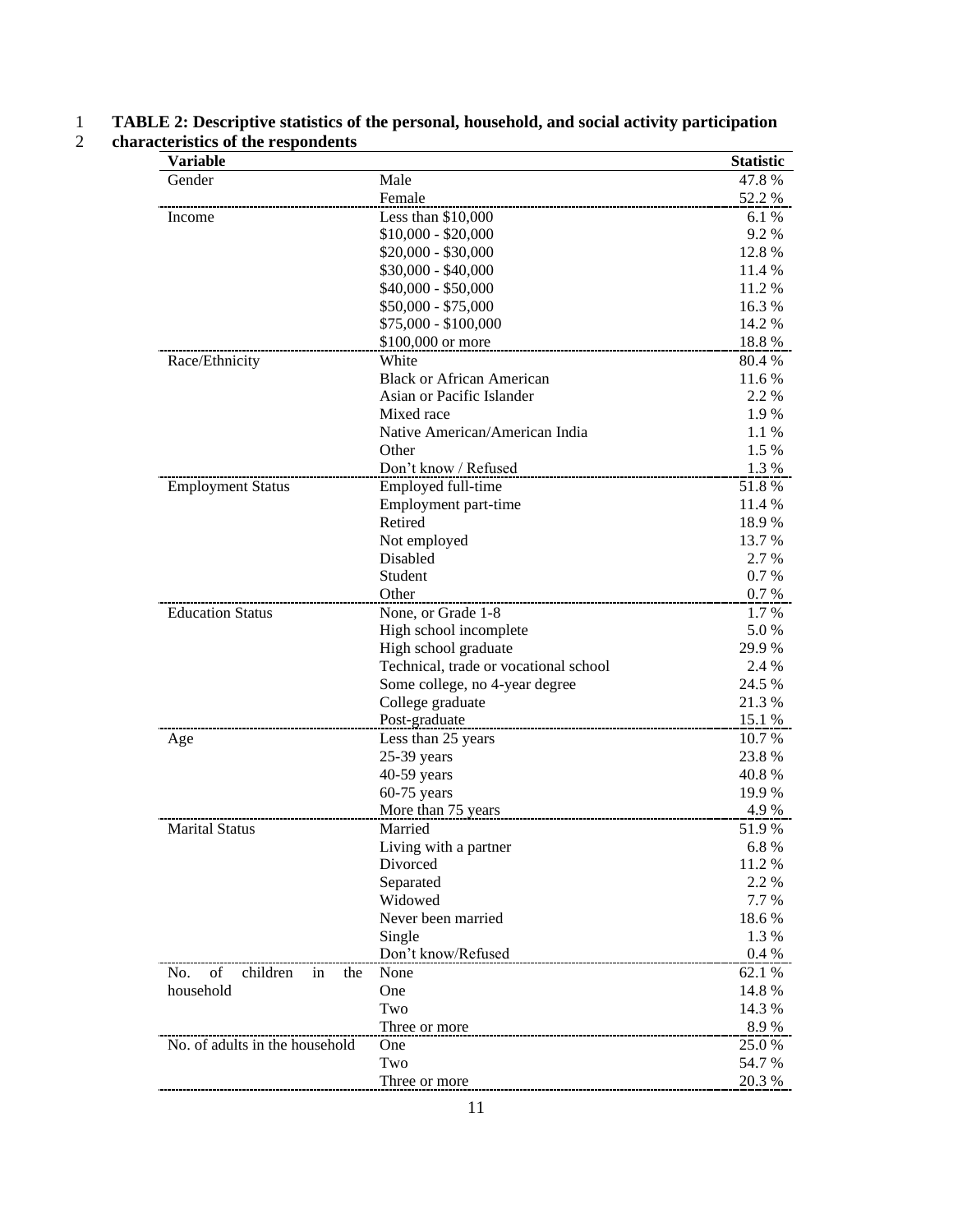| <b>Variable</b>                    |                                       | <b>Statistic</b> |
|------------------------------------|---------------------------------------|------------------|
| Gender                             | Male                                  | 47.8%            |
|                                    | Female                                | 52.2 %           |
| Income                             | Less than $$10,000$                   | 6.1%             |
|                                    | $$10,000 - $20,000$                   | 9.2%             |
|                                    | $$20,000 - $30,000$                   | 12.8 %           |
|                                    | $$30,000 - $40,000$                   | 11.4 %           |
|                                    | $$40,000 - $50,000$                   | 11.2 %           |
|                                    | \$50,000 - \$75,000                   | 16.3%            |
|                                    | \$75,000 - \$100,000                  | 14.2 %           |
|                                    | \$100,000 or more                     | 18.8%            |
| Race/Ethnicity                     | White                                 | 80.4 %           |
|                                    | <b>Black or African American</b>      | 11.6 %           |
|                                    | Asian or Pacific Islander             | 2.2 %            |
|                                    | Mixed race                            | 1.9%             |
|                                    | Native American/American India        | 1.1 %            |
|                                    | Other                                 | 1.5 %            |
|                                    | Don't know / Refused                  | 1.3 %            |
| <b>Employment Status</b>           | Employed full-time                    | 51.8%            |
|                                    | Employment part-time                  | 11.4 %           |
|                                    | Retired                               | 18.9 %           |
|                                    | Not employed                          | 13.7 %           |
|                                    | Disabled                              | 2.7 %            |
|                                    | Student                               | 0.7%             |
|                                    | Other                                 | 0.7 %            |
| <b>Education Status</b>            | None, or Grade 1-8                    | 1.7 %            |
|                                    | High school incomplete                | 5.0%             |
|                                    | High school graduate                  | 29.9 %           |
|                                    | Technical, trade or vocational school | 2.4 %            |
|                                    | Some college, no 4-year degree        | 24.5 %           |
|                                    | College graduate                      | 21.3 %           |
|                                    | Post-graduate                         | 15.1 %           |
| Age                                | Less than 25 years                    | 10.7 %           |
|                                    | 25-39 years                           | 23.8%            |
|                                    | 40-59 years                           | 40.8%            |
|                                    | $60-75$ years                         | 19.9 %           |
|                                    | More than 75 years                    | 4.9%             |
| <b>Marital Status</b>              | Married                               | 51.9%            |
|                                    | Living with a partner                 | 6.8%             |
|                                    | Divorced                              | 11.2 %           |
|                                    | Separated                             | 2.2 %            |
|                                    | Widowed                               | 7.7 %            |
|                                    | Never been married                    | 18.6%            |
|                                    | Single                                | 1.3%             |
|                                    | Don't know/Refused                    | 0.4%             |
| of<br>children<br>No.<br>the<br>in | None                                  | 62.1 %           |
| household                          | One                                   | 14.8 %           |
|                                    | Two                                   | 14.3 %           |
|                                    | Three or more                         | 8.9%             |
| No. of adults in the household     | One                                   | 25.0 %           |
|                                    | Two                                   | 54.7 %           |
|                                    | Three or more                         | 20.3 %           |

## 1 **TABLE 2: Descriptive statistics of the personal, household, and social activity participation**  2 **characteristics of the respondents**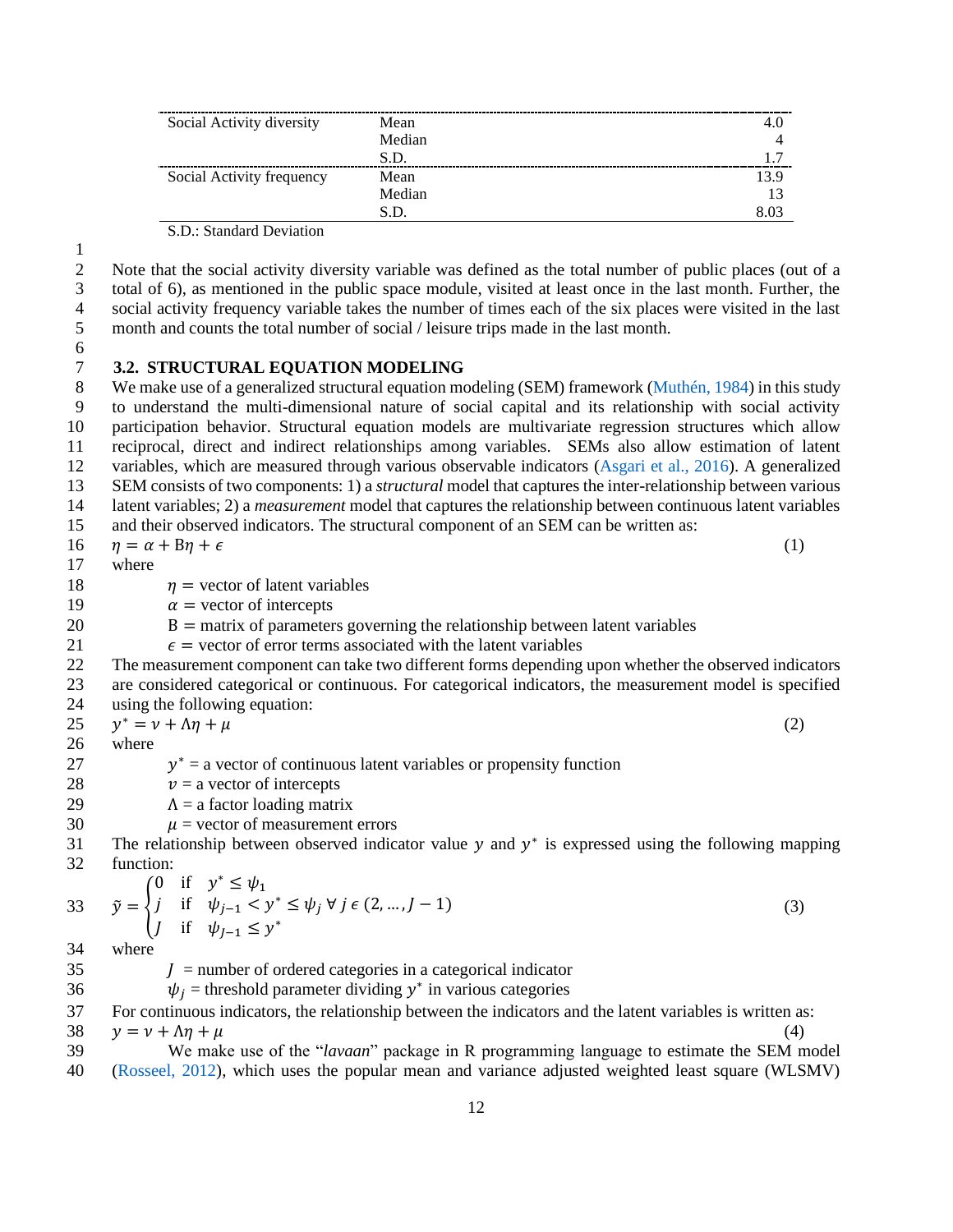| Social Activity diversity | Mean   |      |
|---------------------------|--------|------|
|                           | Median |      |
|                           | S.D.   |      |
| Social Activity frequency | Mean   | 13.9 |
|                           | Median |      |
|                           |        |      |

S.D.: Standard Deviation

1

2 Note that the social activity diversity variable was defined as the total number of public places (out of a 3 total of 6), as mentioned in the public space module, visited at least once in the last month. Further, the 4 social activity frequency variable takes the number of times each of the six places were visited in the last<br>5 month and counts the total number of social / leisure trips made in the last month. month and counts the total number of social / leisure trips made in the last month.

# 6

# 7 **3.2. STRUCTURAL EQUATION MODELING**

 We make use of a generalized structural equation modeling (SEM) framework [\(Muthén, 1984\)](#page-29-16) in this study to understand the multi-dimensional nature of social capital and its relationship with social activity participation behavior. Structural equation models are multivariate regression structures which allow reciprocal, direct and indirect relationships among variables. SEMs also allow estimation of latent variables, which are measured through various observable indicators [\(Asgari et al., 2016\)](#page-26-9). A generalized SEM consists of two components: 1) a *structural* model that captures the inter-relationship between various latent variables; 2) a *measurement* model that captures the relationship between continuous latent variables and their observed indicators. The structural component of an SEM can be written as:

$$
16 \qquad \eta = \alpha + \beta \eta + \epsilon \tag{1}
$$

17 where

- 18  $\eta$  = vector of latent variables
- 19  $\alpha$  = vector of intercepts
- 20 B = matrix of parameters governing the relationship between latent variables
- 21  $\epsilon$  = vector of error terms associated with the latent variables
- 22 The measurement component can take two different forms depending upon whether the observed indicators 23 are considered categorical or continuous. For categorical indicators, the measurement model is specified 24 using the following equation:
- 25  $y^* = v + \Delta \eta + \mu$  (2)
- 26 where
- $y^*$  = a vector of continuous latent variables or propensity function
- 28  $v = a$  vector of intercepts
- 29  $\Lambda$  = a factor loading matrix
- 30  $\mu$  = vector of measurement errors
- 31 The relationship between observed indicator value  $y$  and  $y^*$  is expressed using the following mapping 32 function:

33 
$$
\tilde{y} = \begin{cases}\n0 & \text{if } y^* \le \psi_1 \\
j & \text{if } \psi_{j-1} < y^* \le \psi_j \ \forall \ j \in (2, ..., J - 1) \\
j & \text{if } \psi_{j-1} \le y^* \n\end{cases}
$$
\n34 where (3)

- $35 \qquad J =$  number of ordered categories in a categorical indicator
- 36  $\psi_j$  = threshold parameter dividing  $y^*$  in various categories
- 37 For continuous indicators, the relationship between the indicators and the latent variables is written as:  $38 \quad y = v + \Delta \eta + \mu$  (4)
- 39 We make use of the "*lavaan*" package in R programming language to estimate the SEM model 40 [\(Rosseel, 2012\)](#page-30-11), which uses the popular mean and variance adjusted weighted least square (WLSMV)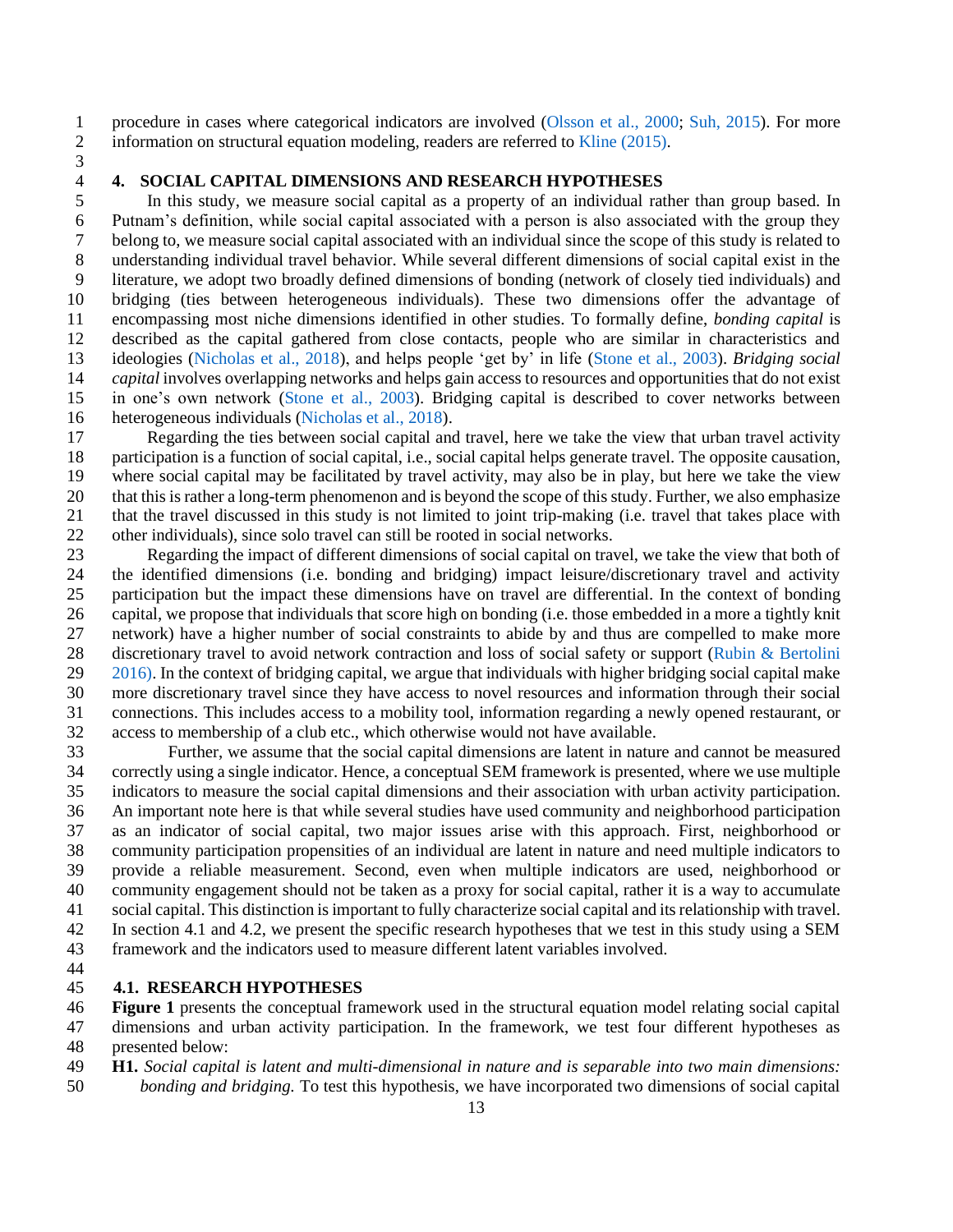procedure in cases where categorical indicators are involved [\(Olsson et al., 2000;](#page-30-12) [Suh, 2015\)](#page-31-11). For more 2 information on structural equation modeling, readers are referred to [Kline \(2015\).](#page-28-10)

# 4 **4. SOCIAL CAPITAL DIMENSIONS AND RESEARCH HYPOTHESES**<br>5 In this study, we measure social capital as a property of an individual rat

In this study, we measure social capital as a property of an individual rather than group based. In Putnam's definition, while social capital associated with a person is also associated with the group they belong to, we measure social capital associated with an individual since the scope of this study is related to understanding individual travel behavior. While several different dimensions of social capital exist in the literature, we adopt two broadly defined dimensions of bonding (network of closely tied individuals) and bridging (ties between heterogeneous individuals). These two dimensions offer the advantage of encompassing most niche dimensions identified in other studies. To formally define, *bonding capital* is described as the capital gathered from close contacts, people who are similar in characteristics and ideologies [\(Nicholas et al., 2018\)](#page-30-5), and helps people 'get by' in life [\(Stone et al., 2003\)](#page-31-5). *Bridging social capital* involves overlapping networks and helps gain access to resources and opportunities that do not exist in one's own network [\(Stone et al., 2003\)](#page-31-5). Bridging capital is described to cover networks between heterogeneous individuals [\(Nicholas et al., 2018\)](#page-30-5).

 Regarding the ties between social capital and travel, here we take the view that urban travel activity participation is a function of social capital, i.e., social capital helps generate travel. The opposite causation, where social capital may be facilitated by travel activity, may also be in play, but here we take the view that this is rather a long-term phenomenon and is beyond the scope of this study. Further, we also emphasize that the travel discussed in this study is not limited to joint trip-making (i.e. travel that takes place with other individuals), since solo travel can still be rooted in social networks.

 Regarding the impact of different dimensions of social capital on travel, we take the view that both of the identified dimensions (i.e. bonding and bridging) impact leisure/discretionary travel and activity participation but the impact these dimensions have on travel are differential. In the context of bonding capital, we propose that individuals that score high on bonding (i.e. those embedded in a more a tightly knit network) have a higher number of social constraints to abide by and thus are compelled to make more discretionary travel to avoid network contraction and loss of social safety or support (Rubin & Bertolini  $2016$ ). In the context of bridging capital, we argue that individuals with higher bridging social capital make more discretionary travel since they have access to novel resources and information through their social connections. This includes access to a mobility tool, information regarding a newly opened restaurant, or access to membership of a club etc., which otherwise would not have available.

 Further, we assume that the social capital dimensions are latent in nature and cannot be measured correctly using a single indicator. Hence, a conceptual SEM framework is presented, where we use multiple indicators to measure the social capital dimensions and their association with urban activity participation. An important note here is that while several studies have used community and neighborhood participation as an indicator of social capital, two major issues arise with this approach. First, neighborhood or community participation propensities of an individual are latent in nature and need multiple indicators to provide a reliable measurement. Second, even when multiple indicators are used, neighborhood or community engagement should not be taken as a proxy for social capital, rather it is a way to accumulate social capital. This distinction is important to fully characterize social capital and its relationship with travel. In section 4.1 and 4.2, we present the specific research hypotheses that we test in this study using a SEM framework and the indicators used to measure different latent variables involved.

#### **4.1. RESEARCH HYPOTHESES**

 **Figure 1** presents the conceptual framework used in the structural equation model relating social capital dimensions and urban activity participation. In the framework, we test four different hypotheses as presented below:

**H1.** *Social capital is latent and multi-dimensional in nature and is separable into two main dimensions:* 

*bonding and bridging.* To test this hypothesis, we have incorporated two dimensions of social capital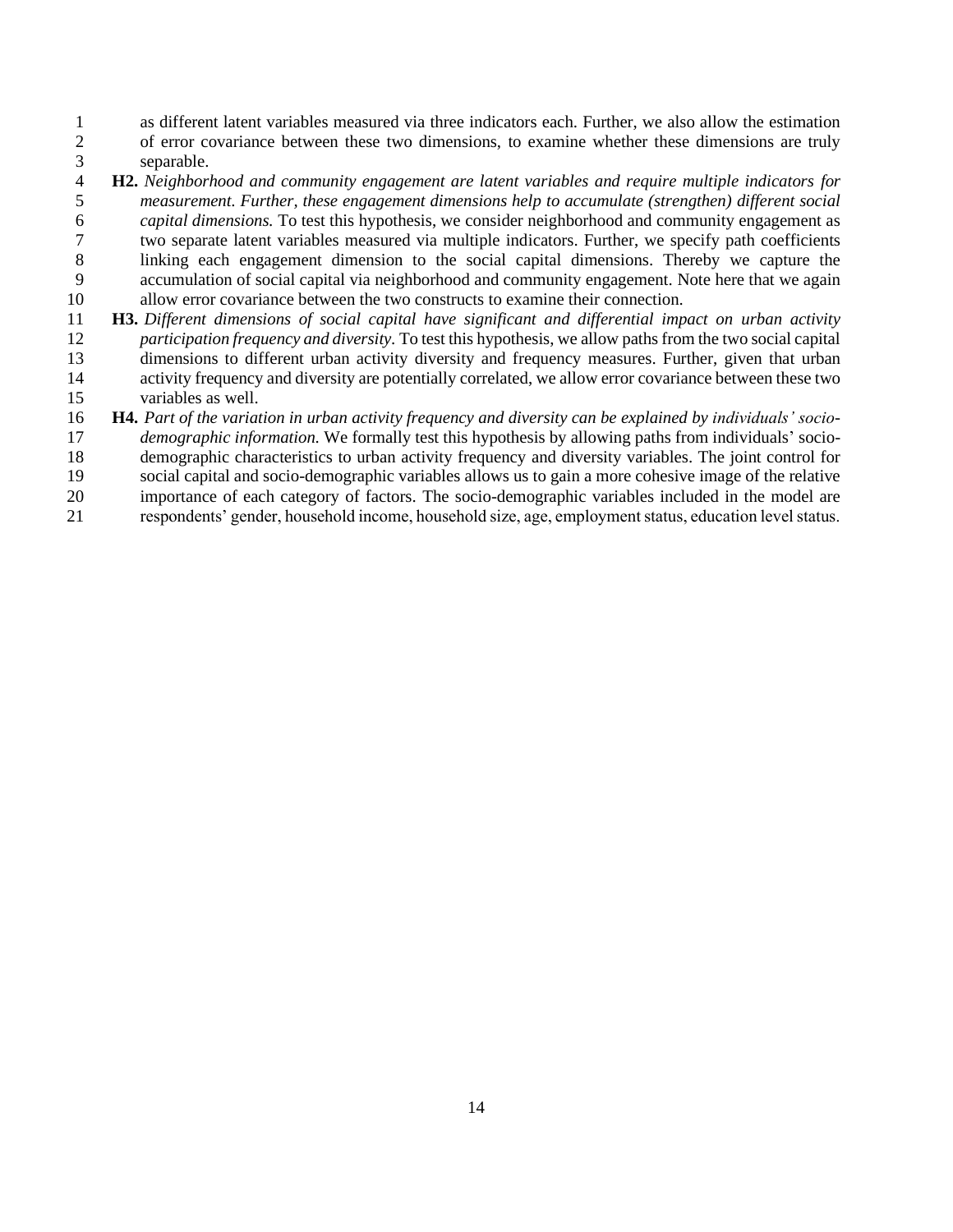as different latent variables measured via three indicators each. Further, we also allow the estimation of error covariance between these two dimensions, to examine whether these dimensions are truly

- 3 separable.<br>4 **H2.** *Neighborl*  **H2.** *Neighborhood and community engagement are latent variables and require multiple indicators for measurement. Further, these engagement dimensions help to accumulate (strengthen) different social capital dimensions.* To test this hypothesis, we consider neighborhood and community engagement as two separate latent variables measured via multiple indicators. Further, we specify path coefficients linking each engagement dimension to the social capital dimensions. Thereby we capture the accumulation of social capital via neighborhood and community engagement. Note here that we again allow error covariance between the two constructs to examine their connection.
- **H3.** *Different dimensions of social capital have significant and differential impact on urban activity participation frequency and diversity.* To test this hypothesis, we allow paths from the two social capital dimensions to different urban activity diversity and frequency measures. Further, given that urban activity frequency and diversity are potentially correlated, we allow error covariance between these two variables as well.
- **H4.** *Part of the variation in urban activity frequency and diversity can be explained by individuals' socio- demographic information.* We formally test this hypothesis by allowing paths from individuals' socio-demographic characteristics to urban activity frequency and diversity variables. The joint control for
- social capital and socio-demographic variables allows us to gain a more cohesive image of the relative
- importance of each category of factors. The socio-demographic variables included in the model are respondents' gender, household income, household size, age, employment status, education level status.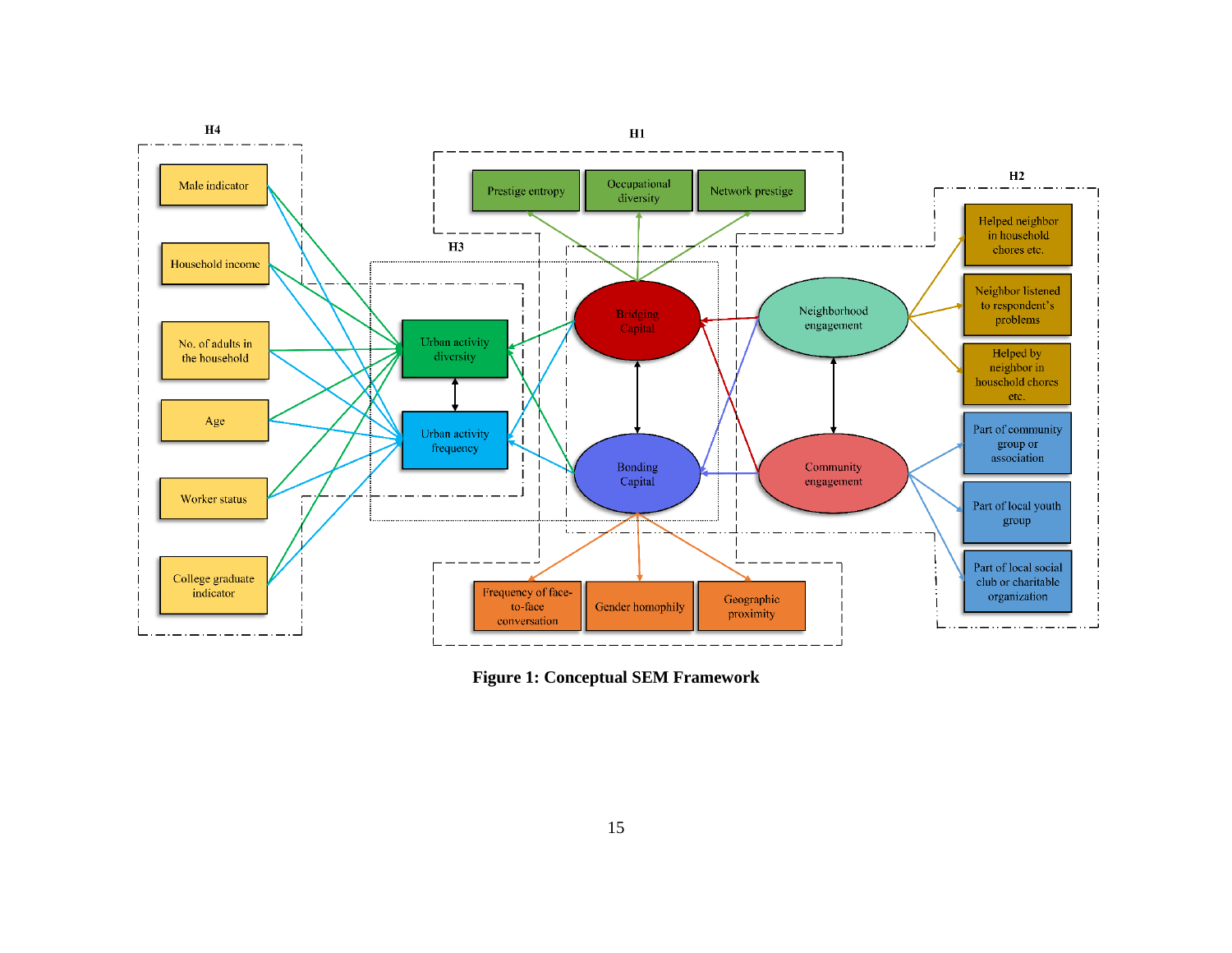

**Figure 1: Conceptual SEM Framework**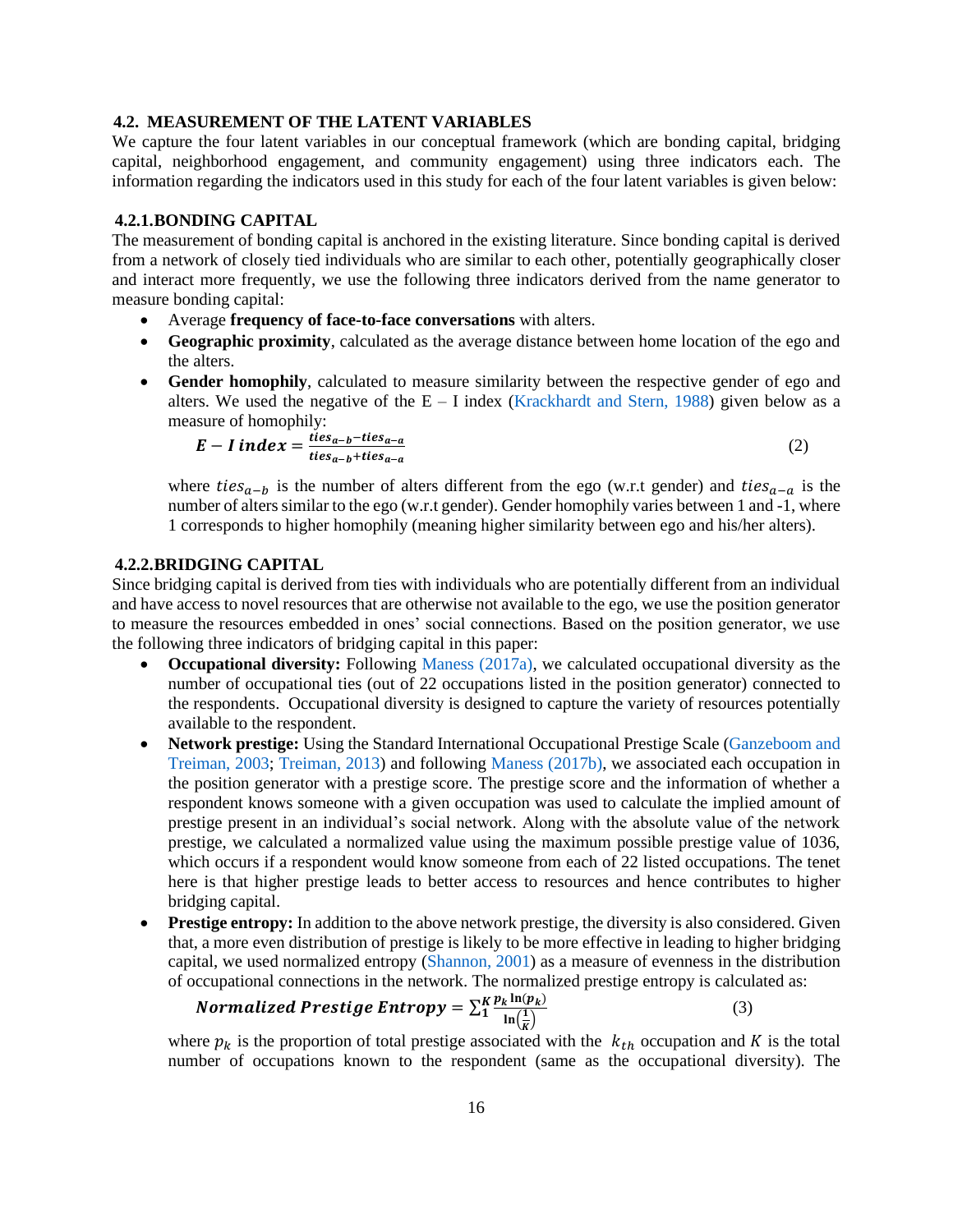#### **4.2. MEASUREMENT OF THE LATENT VARIABLES**

We capture the four latent variables in our conceptual framework (which are bonding capital, bridging capital, neighborhood engagement, and community engagement) using three indicators each. The information regarding the indicators used in this study for each of the four latent variables is given below:

#### **4.2.1.BONDING CAPITAL**

The measurement of bonding capital is anchored in the existing literature. Since bonding capital is derived from a network of closely tied individuals who are similar to each other, potentially geographically closer and interact more frequently, we use the following three indicators derived from the name generator to measure bonding capital:

- Average **frequency of face-to-face conversations** with alters.
- **Geographic proximity**, calculated as the average distance between home location of the ego and the alters.
- **Gender homophily**, calculated to measure similarity between the respective gender of ego and alters. We used the negative of the  $E - I$  index [\(Krackhardt and Stern, 1988\)](#page-28-11) given below as a measure of homophily:

$$
E-I index = \frac{ties_{a-b} - ties_{a-a}}{ties_{a-b} + ties_{a-a}}
$$
 (2)

where  $ties_{a-b}$  is the number of alters different from the ego (w.r.t gender) and  $ties_{a-a}$  is the number of alters similar to the ego (w.r.t gender). Gender homophily varies between 1 and -1, where 1 corresponds to higher homophily (meaning higher similarity between ego and his/her alters).

## **4.2.2.BRIDGING CAPITAL**

Since bridging capital is derived from ties with individuals who are potentially different from an individual and have access to novel resources that are otherwise not available to the ego, we use the position generator to measure the resources embedded in ones' social connections. Based on the position generator, we use the following three indicators of bridging capital in this paper:

- **Occupational diversity:** Following [Maness \(2017a\),](#page-29-2) we calculated occupational diversity as the number of occupational ties (out of 22 occupations listed in the position generator) connected to the respondents. Occupational diversity is designed to capture the variety of resources potentially available to the respondent.
- **Network prestige:** Using the Standard International Occupational Prestige Scale [\(Ganzeboom and](#page-28-12)  [Treiman, 2003;](#page-28-12) [Treiman, 2013\)](#page-31-12) and following [Maness \(2017b\),](#page-29-3) we associated each occupation in the position generator with a prestige score. The prestige score and the information of whether a respondent knows someone with a given occupation was used to calculate the implied amount of prestige present in an individual's social network. Along with the absolute value of the network prestige, we calculated a normalized value using the maximum possible prestige value of 1036, which occurs if a respondent would know someone from each of 22 listed occupations. The tenet here is that higher prestige leads to better access to resources and hence contributes to higher bridging capital.
- **Prestige entropy:** In addition to the above network prestige, the diversity is also considered. Given that, a more even distribution of prestige is likely to be more effective in leading to higher bridging capital, we used normalized entropy [\(Shannon, 2001\)](#page-30-13) as a measure of evenness in the distribution of occupational connections in the network. The normalized prestige entropy is calculated as:

$$
\textbf{Normalized\;Prestige\;Entropy} = \sum_{i}^{K} \frac{p_k \ln(p_k)}{\ln(\frac{1}{K})}
$$
\n<sup>(3)</sup>

where  $p_k$  is the proportion of total prestige associated with the  $k_{th}$  occupation and K is the total number of occupations known to the respondent (same as the occupational diversity). The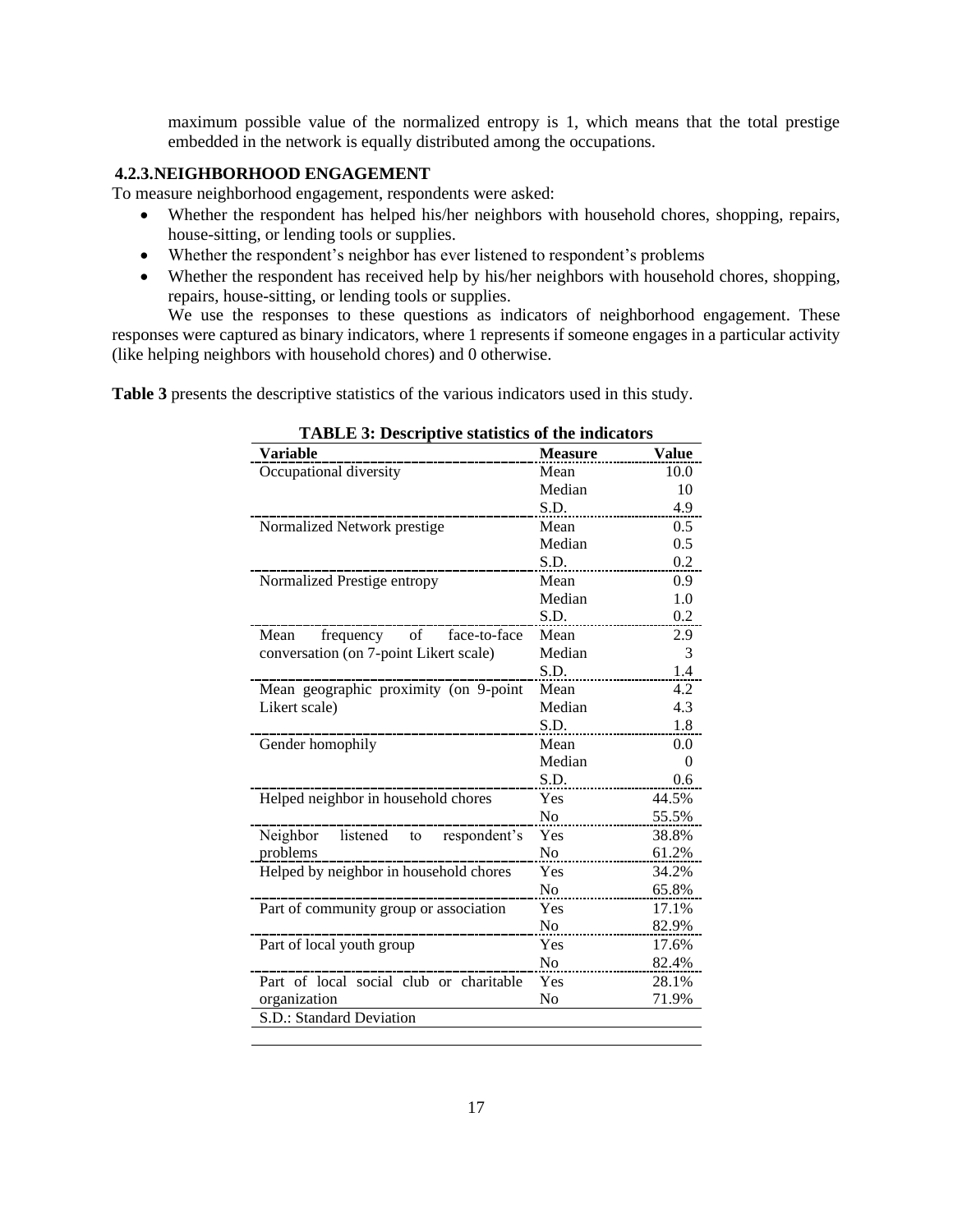maximum possible value of the normalized entropy is 1, which means that the total prestige embedded in the network is equally distributed among the occupations.

# **4.2.3.NEIGHBORHOOD ENGAGEMENT**

To measure neighborhood engagement, respondents were asked:

- Whether the respondent has helped his/her neighbors with household chores, shopping, repairs, house-sitting, or lending tools or supplies.
- Whether the respondent's neighbor has ever listened to respondent's problems
- Whether the respondent has received help by his/her neighbors with household chores, shopping, repairs, house-sitting, or lending tools or supplies.

We use the responses to these questions as indicators of neighborhood engagement. These responses were captured as binary indicators, where 1 represents if someone engages in a particular activity (like helping neighbors with household chores) and 0 otherwise.

**Table 3** presents the descriptive statistics of the various indicators used in this study.

| <b>Variable</b>                         | <b>Measure</b> | <b>Value</b> |
|-----------------------------------------|----------------|--------------|
| Occupational diversity                  | Mean           | 10.0         |
|                                         | Median         | 10           |
|                                         | S.D.           | 4.9          |
| Normalized Network prestige             | Mean           | 0.5          |
|                                         | Median         | 0.5          |
|                                         | S.D.           | 0.2          |
| Normalized Prestige entropy             | Mean           | 0.9          |
|                                         | Median         | 1.0          |
|                                         | S.D.           | 0.2          |
| frequency<br>face-to-face<br>Mean<br>of | Mean           | 2.9          |
| conversation (on 7-point Likert scale)  | Median         | 3            |
|                                         | S.D.           | 1.4          |
| Mean geographic proximity (on 9-point   | Mean           | 4.2          |
| Likert scale)                           | Median         | 4.3          |
|                                         | S.D.           | 1.8          |
| Gender homophily                        | Mean           | 0.0          |
|                                         | Median         | 0            |
|                                         | S.D.           | 0.6          |
| Helped neighbor in household chores     | Yes            | 44.5%        |
|                                         | N <sub>0</sub> | 55.5%        |
| Neighbor listened to respondent's       | Yes            | 38.8%        |
| problems                                | N <sub>o</sub> | 61.2%        |
| Helped by neighbor in household chores  | Yes            | 34.2%        |
|                                         | N <sub>o</sub> | 65.8%        |
| Part of community group or association  | Yes            | 17.1%        |
|                                         | N <sub>0</sub> | 82.9%        |
| Part of local youth group               | Yes            | 17.6%        |
|                                         | N <sub>o</sub> | 82.4%        |
| Part of local social club or charitable | Yes            | 28.1%        |
| organization                            | No             | 71.9%        |
| S.D.: Standard Deviation                |                |              |
|                                         |                |              |

**TABLE 3: Descriptive statistics of the indicators**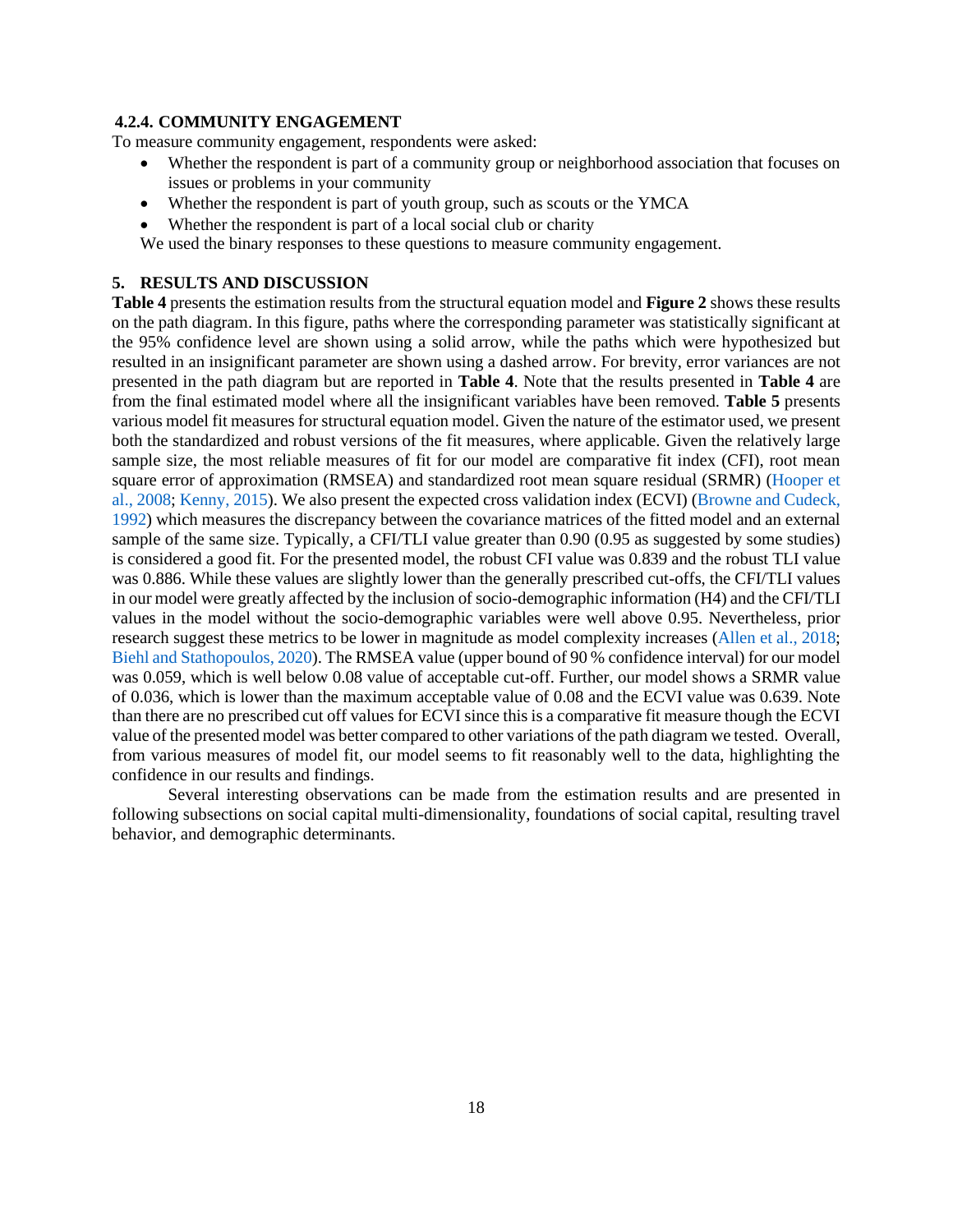#### **4.2.4. COMMUNITY ENGAGEMENT**

To measure community engagement, respondents were asked:

- Whether the respondent is part of a community group or neighborhood association that focuses on issues or problems in your community
- Whether the respondent is part of youth group, such as scouts or the YMCA
- Whether the respondent is part of a local social club or charity

We used the binary responses to these questions to measure community engagement.

# **5. RESULTS AND DISCUSSION**

**Table 4** presents the estimation results from the structural equation model and **Figure 2** shows these results on the path diagram. In this figure, paths where the corresponding parameter was statistically significant at the 95% confidence level are shown using a solid arrow, while the paths which were hypothesized but resulted in an insignificant parameter are shown using a dashed arrow. For brevity, error variances are not presented in the path diagram but are reported in **Table 4**. Note that the results presented in **Table 4** are from the final estimated model where all the insignificant variables have been removed. **Table 5** presents various model fit measures for structural equation model. Given the nature of the estimator used, we present both the standardized and robust versions of the fit measures, where applicable. Given the relatively large sample size, the most reliable measures of fit for our model are comparative fit index (CFI), root mean square error of approximation (RMSEA) and standardized root mean square residual (SRMR) [\(Hooper et](#page-28-13)  [al., 2008;](#page-28-13) [Kenny, 2015\)](#page-28-14). We also present the expected cross validation index (ECVI) [\(Browne and Cudeck,](#page-26-10)  [1992\)](#page-26-10) which measures the discrepancy between the covariance matrices of the fitted model and an external sample of the same size. Typically, a CFI/TLI value greater than 0.90 (0.95 as suggested by some studies) is considered a good fit. For the presented model, the robust CFI value was 0.839 and the robust TLI value was 0.886. While these values are slightly lower than the generally prescribed cut-offs, the CFI/TLI values in our model were greatly affected by the inclusion of socio-demographic information (H4) and the CFI/TLI values in the model without the socio-demographic variables were well above 0.95. Nevertheless, prior research suggest these metrics to be lower in magnitude as model complexity increases [\(Allen et al., 2018;](#page-26-11) [Biehl and Stathopoulos, 2020\)](#page-26-12). The RMSEA value (upper bound of 90 % confidence interval) for our model was 0.059, which is well below 0.08 value of acceptable cut-off. Further, our model shows a SRMR value of 0.036, which is lower than the maximum acceptable value of 0.08 and the ECVI value was 0.639. Note than there are no prescribed cut off values for ECVI since this is a comparative fit measure though the ECVI value of the presented model was better compared to other variations of the path diagram we tested. Overall, from various measures of model fit, our model seems to fit reasonably well to the data, highlighting the confidence in our results and findings.

Several interesting observations can be made from the estimation results and are presented in following subsections on social capital multi-dimensionality, foundations of social capital, resulting travel behavior, and demographic determinants.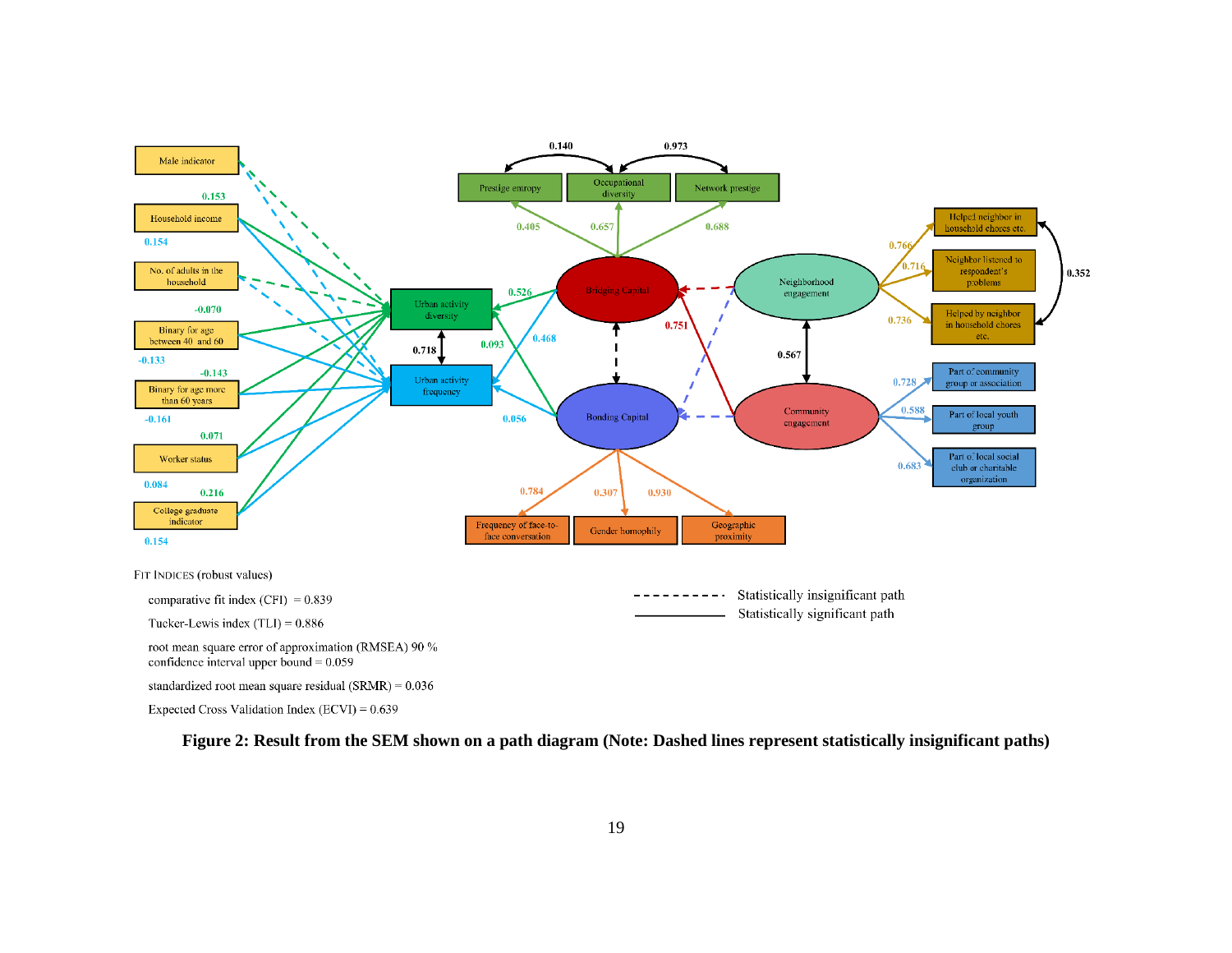

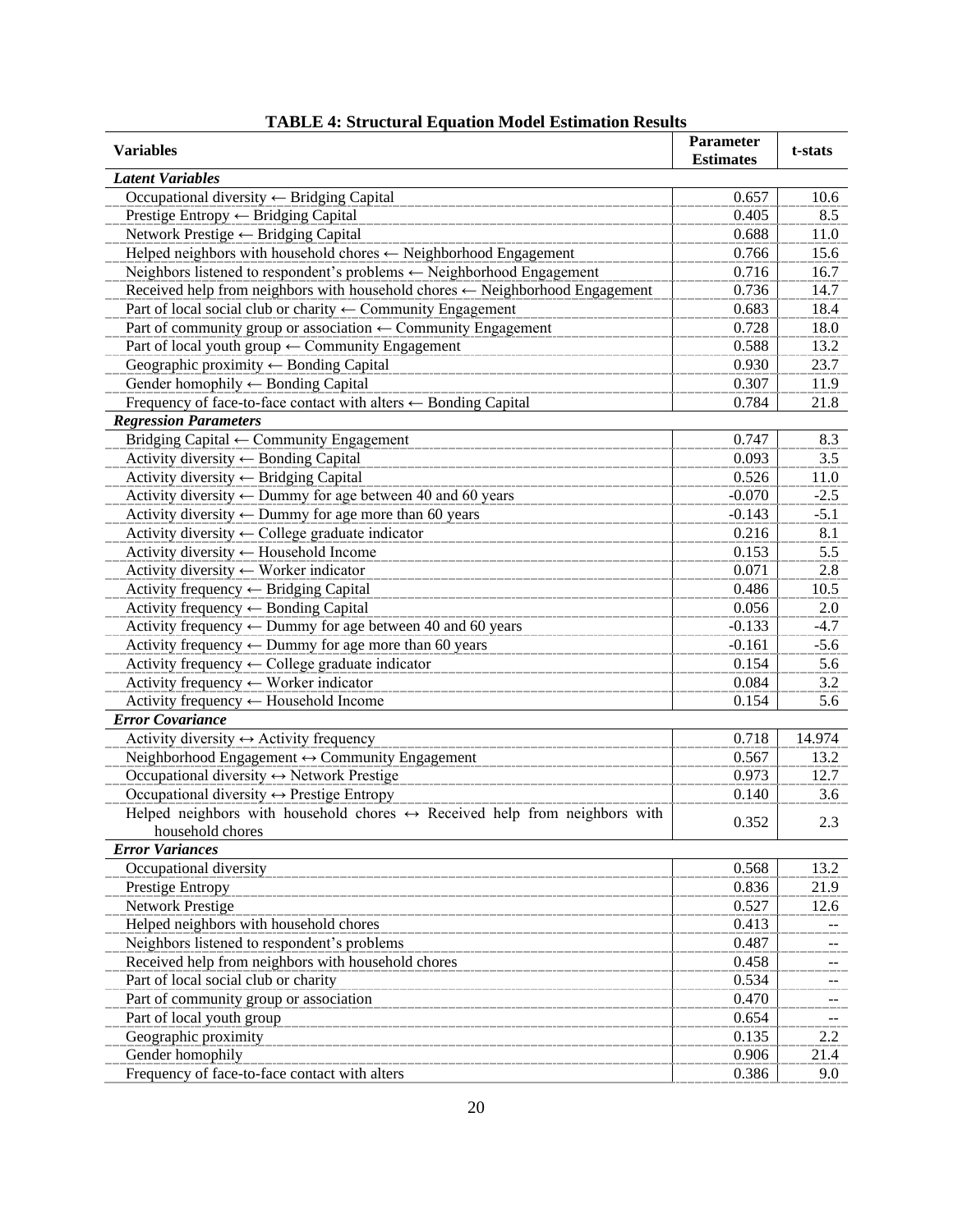| <b>Variables</b>                                                                           | <b>Parameter</b><br><b>Estimates</b> | t-stats |
|--------------------------------------------------------------------------------------------|--------------------------------------|---------|
| <b>Latent Variables</b>                                                                    |                                      |         |
| Occupational diversity ← Bridging Capital                                                  | 0.657                                | 10.6    |
| Prestige Entropy $\leftarrow$ Bridging Capital                                             | 0.405                                | 8.5     |
| Network Prestige ← Bridging Capital                                                        | 0.688                                | 11.0    |
| Helped neighbors with household chores $\leftarrow$ Neighborhood Engagement                | 0.766                                | 15.6    |
| Neighbors listened to respondent's problems ← Neighborhood Engagement                      | 0.716                                | 16.7    |
| Received help from neighbors with household chores $\leftarrow$ Neighborhood Engagement    | 0.736                                | 14.7    |
| Part of local social club or charity $\leftarrow$ Community Engagement                     | 0.683                                | 18.4    |
| Part of community group or association $\leftarrow$ Community Engagement                   | 0.728                                | 18.0    |
| Part of local youth group $\leftarrow$ Community Engagement                                | 0.588                                | 13.2    |
| Geographic proximity $\leftarrow$ Bonding Capital                                          | 0.930                                | 23.7    |
| Gender homophily $\leftarrow$ Bonding Capital                                              | 0.307                                | 11.9    |
| Frequency of face-to-face contact with alters $\leftarrow$ Bonding Capital                 | 0.784                                | 21.8    |
| <b>Regression Parameters</b>                                                               |                                      |         |
| Bridging Capital ← Community Engagement                                                    | 0.747                                | 8.3     |
| Activity diversity $\leftarrow$ Bonding Capital                                            | 0.093                                | 3.5     |
| Activity diversity $\leftarrow$ Bridging Capital                                           | 0.526                                | 11.0    |
| Activity diversity $\leftarrow$ Dummy for age between 40 and 60 years                      | $-0.070$                             | $-2.5$  |
| Activity diversity $\leftarrow$ Dummy for age more than 60 years                           | $-0.143$                             | $-5.1$  |
| Activity diversity $\leftarrow$ College graduate indicator                                 | 0.216                                | 8.1     |
| Activity diversity ← Household Income                                                      | 0.153                                | 5.5     |
| Activity diversity $\leftarrow$ Worker indicator                                           | 0.071                                | 2.8     |
| Activity frequency $\leftarrow$ Bridging Capital                                           | 0.486                                | 10.5    |
| Activity frequency $\leftarrow$ Bonding Capital                                            | 0.056                                | 2.0     |
| Activity frequency $\leftarrow$ Dummy for age between 40 and 60 years                      | $-0.133$                             | $-4.7$  |
| Activity frequency $\leftarrow$ Dummy for age more than 60 years                           | $-0.161$                             | $-5.6$  |
| Activity frequency $\leftarrow$ College graduate indicator                                 | 0.154                                | 5.6     |
| Activity frequency $\leftarrow$ Worker indicator                                           | 0.084                                | 3.2     |
| Activity frequency ← Household Income                                                      | 0.154                                | 5.6     |
| <b>Error Covariance</b>                                                                    |                                      |         |
| Activity diversity $\leftrightarrow$ Activity frequency                                    | 0.718                                | 14.974  |
| Neighborhood Engagement $\leftrightarrow$ Community Engagement                             | 0.567                                | 13.2    |
| Occupational diversity $\leftrightarrow$ Network Prestige                                  | 0.973                                | 12.7    |
| Occupational diversity $\leftrightarrow$ Prestige Entropy                                  | 0.140                                | 3.6     |
| Helped neighbors with household chores $\leftrightarrow$ Received help from neighbors with |                                      |         |
| household chores                                                                           | 0.352                                | 2.3     |
| <b>Error Variances</b>                                                                     |                                      |         |
| Occupational diversity                                                                     | 0.568                                | 13.2    |
| Prestige Entropy                                                                           | 0.836                                | 21.9    |
| Network Prestige                                                                           | 0.527                                | 12.6    |
| Helped neighbors with household chores                                                     | 0.413                                |         |
| Neighbors listened to respondent's problems                                                | 0.487                                |         |
| Received help from neighbors with household chores                                         | 0.458                                |         |
| Part of local social club or charity                                                       | 0.534                                |         |
| Part of community group or association                                                     | 0.470                                |         |
| Part of local youth group                                                                  | 0.654                                |         |
| Geographic proximity                                                                       | 0.135                                | 2.2     |
| Gender homophily                                                                           | 0.906                                | 21.4    |
| Frequency of face-to-face contact with alters                                              | 0.386                                | 9.0     |
|                                                                                            |                                      |         |

# **TABLE 4: Structural Equation Model Estimation Results**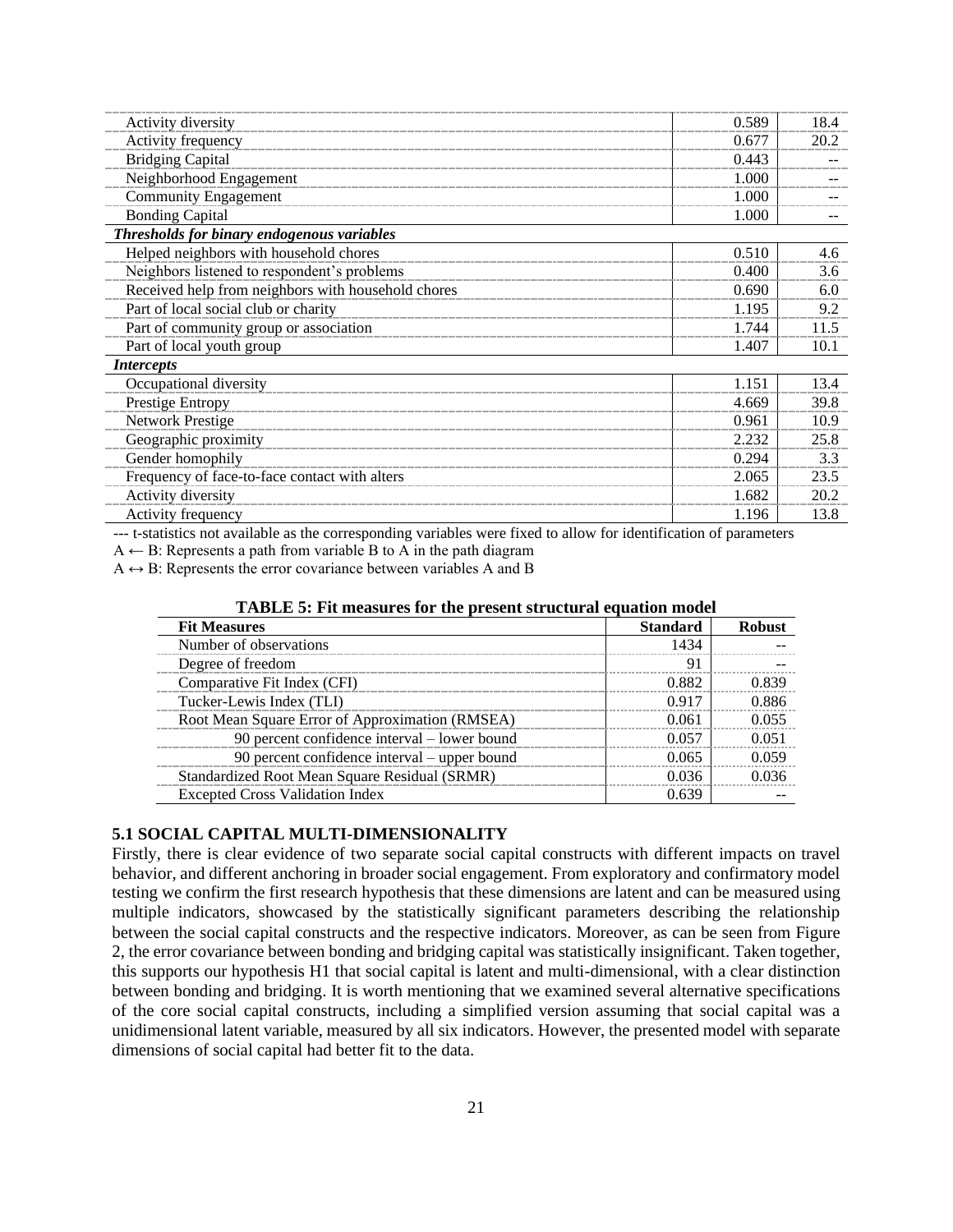| Activity diversity                                 | 0.589 | 18.4 |
|----------------------------------------------------|-------|------|
| Activity frequency                                 | 0.677 | 20.2 |
| <b>Bridging Capital</b>                            | 0.443 |      |
| Neighborhood Engagement                            | 1.000 |      |
| <b>Community Engagement</b>                        | 1.000 |      |
| <b>Bonding Capital</b>                             | 1.000 |      |
| Thresholds for binary endogenous variables         |       |      |
| Helped neighbors with household chores             | 0.510 | 4.6  |
| Neighbors listened to respondent's problems        | 0.400 | 3.6  |
| Received help from neighbors with household chores | 0.690 | 6.0  |
| Part of local social club or charity               | 1.195 | 9.2  |
| Part of community group or association             | 1.744 | 11.5 |
| Part of local youth group                          | 1.407 | 10.1 |
| <i>Intercepts</i>                                  |       |      |
| Occupational diversity                             | 1.151 | 13.4 |
| Prestige Entropy                                   | 4.669 | 39.8 |
| Network Prestige                                   | 0.961 | 10.9 |
| Geographic proximity                               | 2.232 | 25.8 |
| Gender homophily                                   | 0.294 | 3.3  |
| Frequency of face-to-face contact with alters      | 2.065 | 23.5 |
| Activity diversity                                 | 1.682 | 20.2 |
| Activity frequency                                 | 1.196 | 13.8 |
|                                                    |       |      |

--- t-statistics not available as the corresponding variables were fixed to allow for identification of parameters

 $A \leftarrow B$ : Represents a path from variable B to A in the path diagram

 $A \leftrightarrow B$ : Represents the error covariance between variables A and B

| TABLE 5: Fit measures for the present structural equation model |  |  |  |
|-----------------------------------------------------------------|--|--|--|
|-----------------------------------------------------------------|--|--|--|

| <b>Fit Measures</b>                             | <b>Standard</b> | <b>Robust</b> |
|-------------------------------------------------|-----------------|---------------|
| Number of observations                          | 1434            |               |
| Degree of freedom                               | 91              |               |
| Comparative Fit Index (CFI)                     | 0.882           | 0.839         |
| Tucker-Lewis Index (TLI)                        | 0.917           | 0.886         |
| Root Mean Square Error of Approximation (RMSEA) | 0.061           | 0.055         |
| 90 percent confidence interval – lower bound    | 0.057           | 0.051         |
| 90 percent confidence interval – upper bound    | 0.065           | 0.059         |
| Standardized Root Mean Square Residual (SRMR)   | 0.036           | 0.036         |
| <b>Excepted Cross Validation Index</b>          | 0.639           |               |

#### **5.1 SOCIAL CAPITAL MULTI-DIMENSIONALITY**

Firstly, there is clear evidence of two separate social capital constructs with different impacts on travel behavior, and different anchoring in broader social engagement. From exploratory and confirmatory model testing we confirm the first research hypothesis that these dimensions are latent and can be measured using multiple indicators, showcased by the statistically significant parameters describing the relationship between the social capital constructs and the respective indicators. Moreover, as can be seen from Figure 2, the error covariance between bonding and bridging capital was statistically insignificant. Taken together, this supports our hypothesis H1 that social capital is latent and multi-dimensional, with a clear distinction between bonding and bridging. It is worth mentioning that we examined several alternative specifications of the core social capital constructs, including a simplified version assuming that social capital was a unidimensional latent variable, measured by all six indicators. However, the presented model with separate dimensions of social capital had better fit to the data.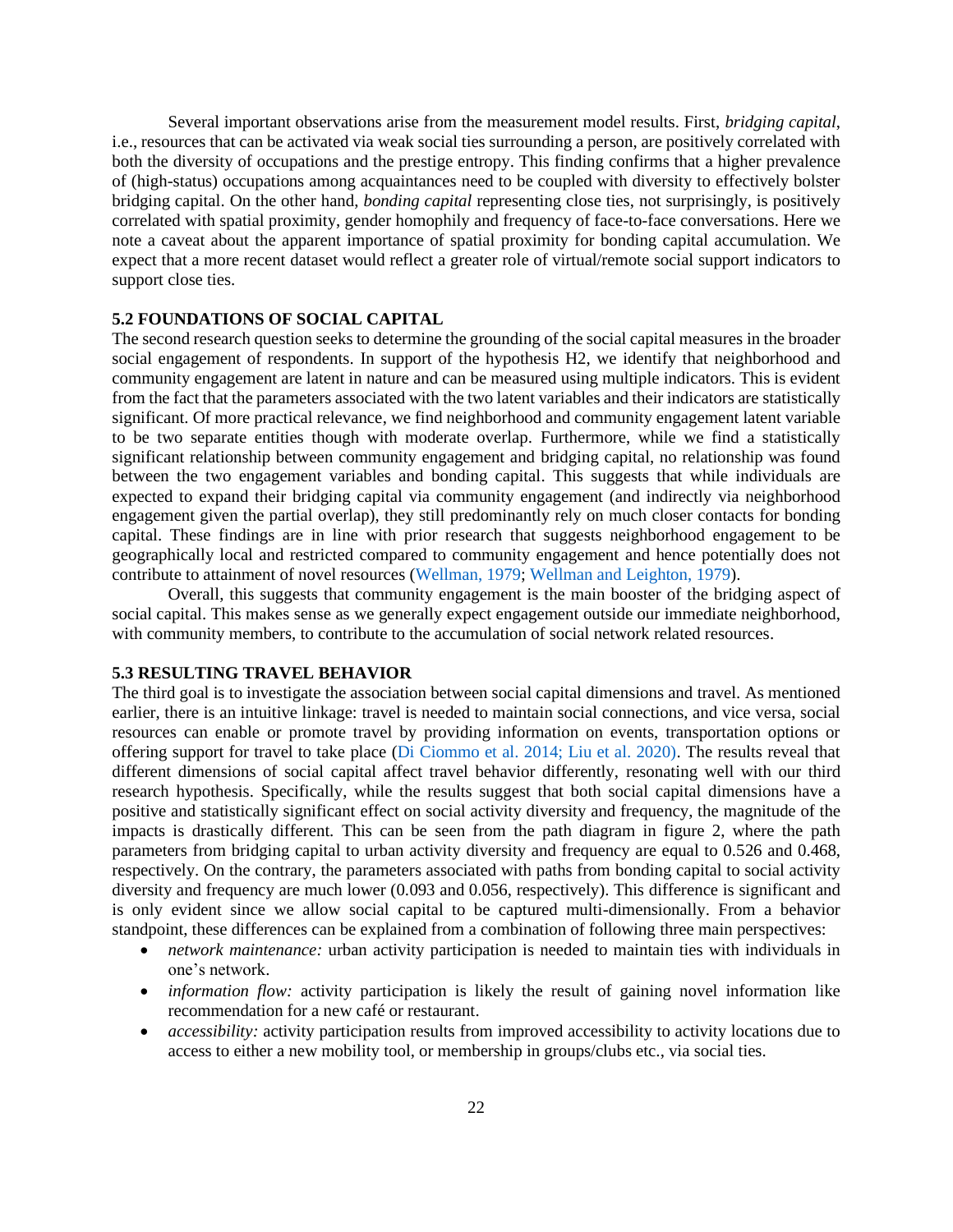Several important observations arise from the measurement model results. First, *bridging capital*, i.e., resources that can be activated via weak social ties surrounding a person, are positively correlated with both the diversity of occupations and the prestige entropy. This finding confirms that a higher prevalence of (high-status) occupations among acquaintances need to be coupled with diversity to effectively bolster bridging capital. On the other hand, *bonding capital* representing close ties, not surprisingly, is positively correlated with spatial proximity, gender homophily and frequency of face-to-face conversations. Here we note a caveat about the apparent importance of spatial proximity for bonding capital accumulation. We expect that a more recent dataset would reflect a greater role of virtual/remote social support indicators to support close ties.

## **5.2 FOUNDATIONS OF SOCIAL CAPITAL**

The second research question seeks to determine the grounding of the social capital measures in the broader social engagement of respondents. In support of the hypothesis H2, we identify that neighborhood and community engagement are latent in nature and can be measured using multiple indicators. This is evident from the fact that the parameters associated with the two latent variables and their indicators are statistically significant. Of more practical relevance, we find neighborhood and community engagement latent variable to be two separate entities though with moderate overlap. Furthermore, while we find a statistically significant relationship between community engagement and bridging capital, no relationship was found between the two engagement variables and bonding capital. This suggests that while individuals are expected to expand their bridging capital via community engagement (and indirectly via neighborhood engagement given the partial overlap), they still predominantly rely on much closer contacts for bonding capital. These findings are in line with prior research that suggests neighborhood engagement to be geographically local and restricted compared to community engagement and hence potentially does not contribute to attainment of novel resources [\(Wellman, 1979;](#page-31-13) [Wellman and Leighton, 1979\)](#page-31-14).

Overall, this suggests that community engagement is the main booster of the bridging aspect of social capital. This makes sense as we generally expect engagement outside our immediate neighborhood, with community members, to contribute to the accumulation of social network related resources.

#### **5.3 RESULTING TRAVEL BEHAVIOR**

The third goal is to investigate the association between social capital dimensions and travel. As mentioned earlier, there is an intuitive linkage: travel is needed to maintain social connections, and vice versa, social resources can enable or promote travel by providing information on events, transportation options or offering support for travel to take place (Di Ciommo et al. 2014; Liu et al. 2020). The results reveal that different dimensions of social capital affect travel behavior differently, resonating well with our third research hypothesis. Specifically, while the results suggest that both social capital dimensions have a positive and statistically significant effect on social activity diversity and frequency, the magnitude of the impacts is drastically different. This can be seen from the path diagram in figure 2, where the path parameters from bridging capital to urban activity diversity and frequency are equal to 0.526 and 0.468, respectively. On the contrary, the parameters associated with paths from bonding capital to social activity diversity and frequency are much lower (0.093 and 0.056, respectively). This difference is significant and is only evident since we allow social capital to be captured multi-dimensionally. From a behavior standpoint, these differences can be explained from a combination of following three main perspectives:

- *network maintenance:* urban activity participation is needed to maintain ties with individuals in one's network.
- *information flow:* activity participation is likely the result of gaining novel information like recommendation for a new café or restaurant.
- *accessibility:* activity participation results from improved accessibility to activity locations due to access to either a new mobility tool, or membership in groups/clubs etc., via social ties.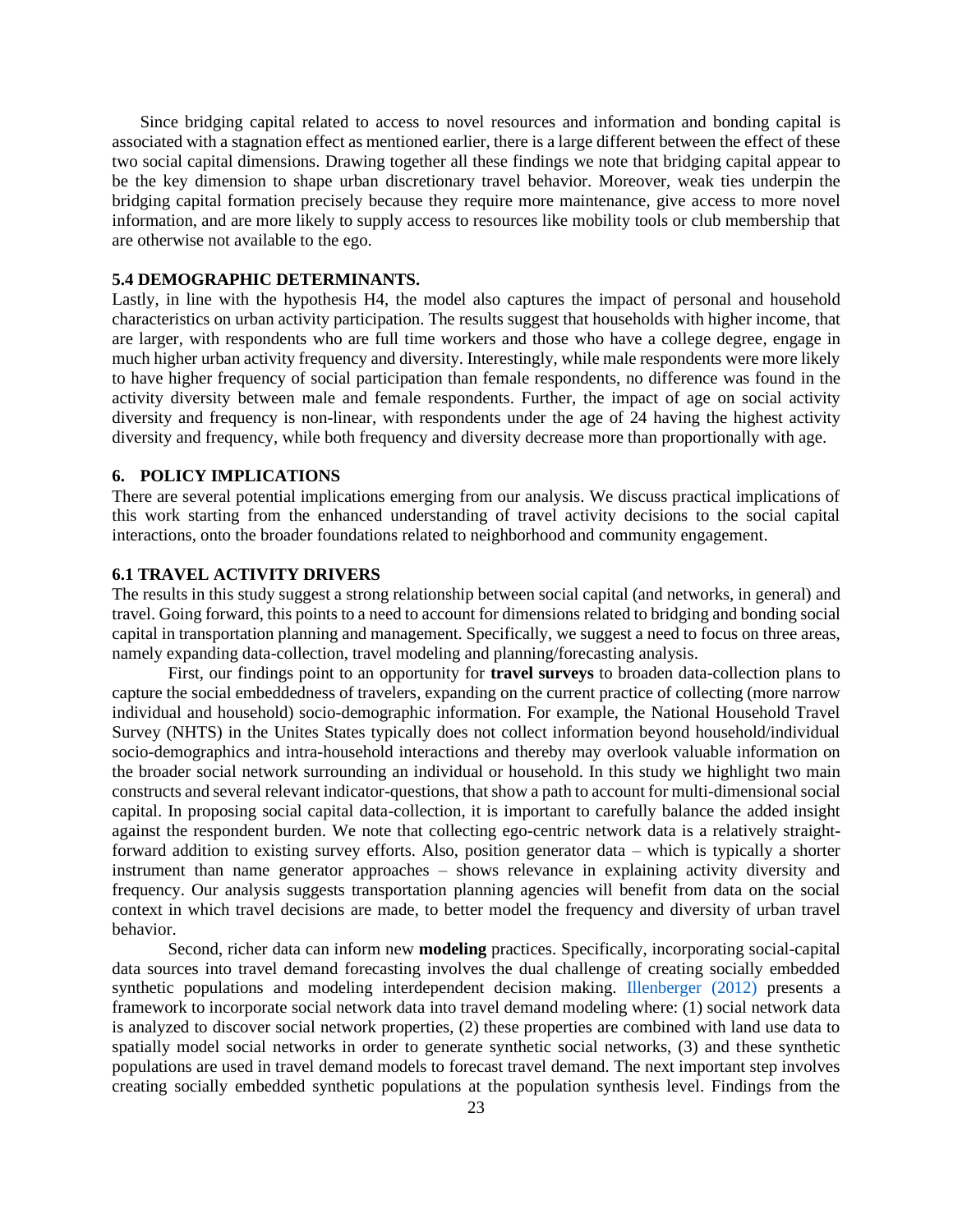Since bridging capital related to access to novel resources and information and bonding capital is associated with a stagnation effect as mentioned earlier, there is a large different between the effect of these two social capital dimensions. Drawing together all these findings we note that bridging capital appear to be the key dimension to shape urban discretionary travel behavior. Moreover, weak ties underpin the bridging capital formation precisely because they require more maintenance, give access to more novel information, and are more likely to supply access to resources like mobility tools or club membership that are otherwise not available to the ego.

#### **5.4 DEMOGRAPHIC DETERMINANTS.**

Lastly, in line with the hypothesis H4, the model also captures the impact of personal and household characteristics on urban activity participation. The results suggest that households with higher income, that are larger, with respondents who are full time workers and those who have a college degree, engage in much higher urban activity frequency and diversity. Interestingly, while male respondents were more likely to have higher frequency of social participation than female respondents, no difference was found in the activity diversity between male and female respondents. Further, the impact of age on social activity diversity and frequency is non-linear, with respondents under the age of 24 having the highest activity diversity and frequency, while both frequency and diversity decrease more than proportionally with age.

#### **6. POLICY IMPLICATIONS**

There are several potential implications emerging from our analysis. We discuss practical implications of this work starting from the enhanced understanding of travel activity decisions to the social capital interactions, onto the broader foundations related to neighborhood and community engagement.

#### **6.1 TRAVEL ACTIVITY DRIVERS**

The results in this study suggest a strong relationship between social capital (and networks, in general) and travel. Going forward, this points to a need to account for dimensions related to bridging and bonding social capital in transportation planning and management. Specifically, we suggest a need to focus on three areas, namely expanding data-collection, travel modeling and planning/forecasting analysis.

First, our findings point to an opportunity for **travel surveys** to broaden data-collection plans to capture the social embeddedness of travelers, expanding on the current practice of collecting (more narrow individual and household) socio-demographic information. For example, the National Household Travel Survey (NHTS) in the Unites States typically does not collect information beyond household/individual socio-demographics and intra-household interactions and thereby may overlook valuable information on the broader social network surrounding an individual or household. In this study we highlight two main constructs and several relevant indicator-questions, that show a path to account for multi-dimensional social capital. In proposing social capital data-collection, it is important to carefully balance the added insight against the respondent burden. We note that collecting ego-centric network data is a relatively straightforward addition to existing survey efforts. Also, position generator data – which is typically a shorter instrument than name generator approaches – shows relevance in explaining activity diversity and frequency. Our analysis suggests transportation planning agencies will benefit from data on the social context in which travel decisions are made, to better model the frequency and diversity of urban travel behavior.

Second, richer data can inform new **modeling** practices. Specifically, incorporating social-capital data sources into travel demand forecasting involves the dual challenge of creating socially embedded synthetic populations and modeling interdependent decision making. [Illenberger \(2012\)](#page-28-15) presents a framework to incorporate social network data into travel demand modeling where: (1) social network data is analyzed to discover social network properties, (2) these properties are combined with land use data to spatially model social networks in order to generate synthetic social networks, (3) and these synthetic populations are used in travel demand models to forecast travel demand. The next important step involves creating socially embedded synthetic populations at the population synthesis level. Findings from the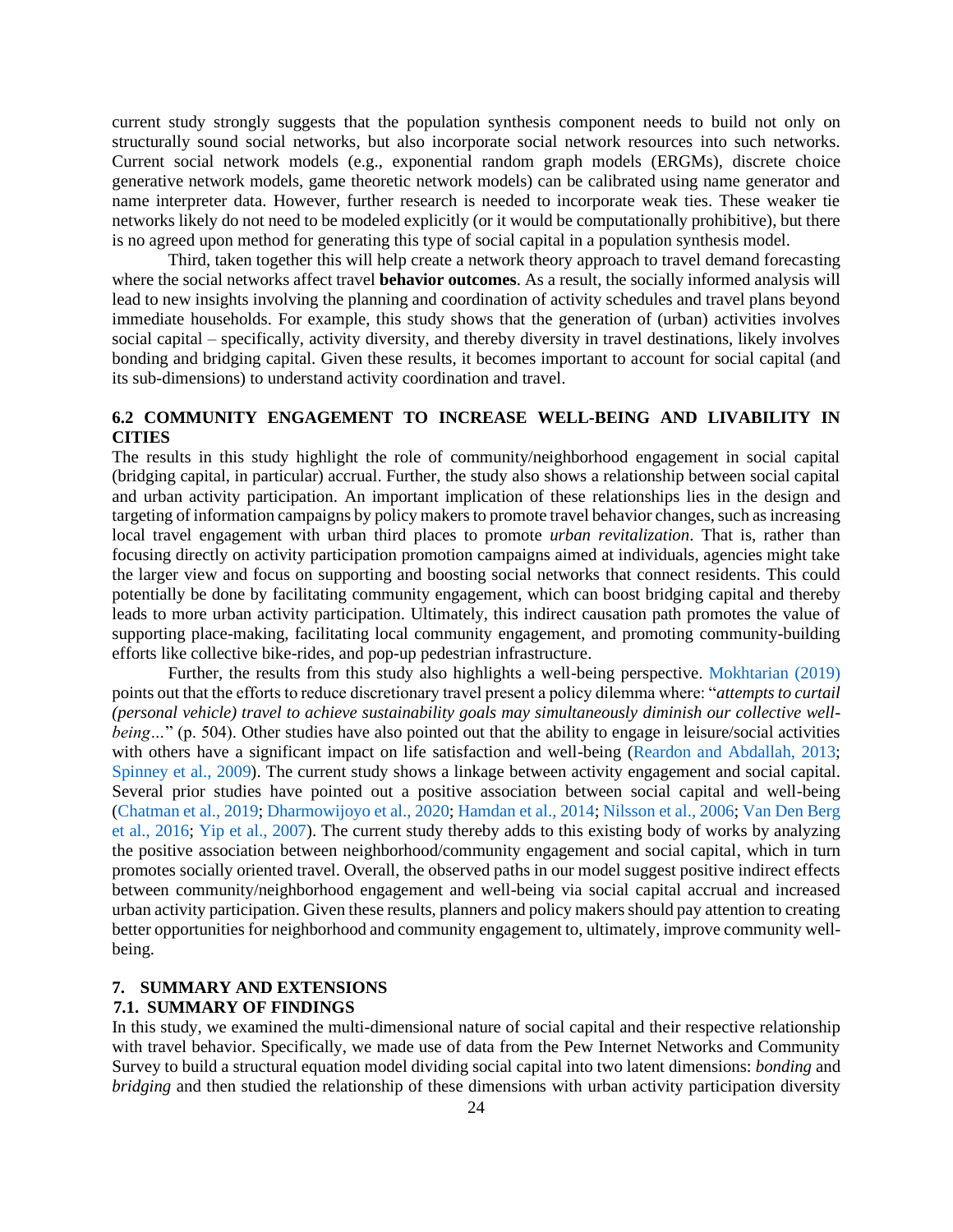current study strongly suggests that the population synthesis component needs to build not only on structurally sound social networks, but also incorporate social network resources into such networks. Current social network models (e.g., exponential random graph models (ERGMs), discrete choice generative network models, game theoretic network models) can be calibrated using name generator and name interpreter data. However, further research is needed to incorporate weak ties. These weaker tie networks likely do not need to be modeled explicitly (or it would be computationally prohibitive), but there is no agreed upon method for generating this type of social capital in a population synthesis model.

Third, taken together this will help create a network theory approach to travel demand forecasting where the social networks affect travel **behavior outcomes**. As a result, the socially informed analysis will lead to new insights involving the planning and coordination of activity schedules and travel plans beyond immediate households. For example, this study shows that the generation of (urban) activities involves social capital – specifically, activity diversity, and thereby diversity in travel destinations, likely involves bonding and bridging capital. Given these results, it becomes important to account for social capital (and its sub-dimensions) to understand activity coordination and travel.

# **6.2 COMMUNITY ENGAGEMENT TO INCREASE WELL-BEING AND LIVABILITY IN CITIES**

The results in this study highlight the role of community/neighborhood engagement in social capital (bridging capital, in particular) accrual. Further, the study also shows a relationship between social capital and urban activity participation. An important implication of these relationships lies in the design and targeting of information campaigns by policy makers to promote travel behavior changes, such as increasing local travel engagement with urban third places to promote *urban revitalization*. That is, rather than focusing directly on activity participation promotion campaigns aimed at individuals, agencies might take the larger view and focus on supporting and boosting social networks that connect residents. This could potentially be done by facilitating community engagement, which can boost bridging capital and thereby leads to more urban activity participation. Ultimately, this indirect causation path promotes the value of supporting place-making, facilitating local community engagement, and promoting community-building efforts like collective bike-rides, and pop-up pedestrian infrastructure.

Further, the results from this study also highlights a well-being perspective. [Mokhtarian \(2019\)](#page-29-17) points out that the efforts to reduce discretionary travel present a policy dilemma where: "*attempts to curtail (personal vehicle) travel to achieve sustainability goals may simultaneously diminish our collective wellbeing*..." (p. 504). Other studies have also pointed out that the ability to engage in leisure/social activities with others have a significant impact on life satisfaction and well-being [\(Reardon and Abdallah, 2013;](#page-30-14) [Spinney et al., 2009\)](#page-30-15). The current study shows a linkage between activity engagement and social capital. Several prior studies have pointed out a positive association between social capital and well-being [\(Chatman et al., 2019;](#page-27-14) [Dharmowijoyo et al., 2020;](#page-27-15) [Hamdan et al., 2014;](#page-28-0) [Nilsson et al., 2006;](#page-30-0) [Van Den Berg](#page-31-15)  [et al., 2016;](#page-31-15) [Yip et al., 2007\)](#page-31-0). The current study thereby adds to this existing body of works by analyzing the positive association between neighborhood/community engagement and social capital, which in turn promotes socially oriented travel. Overall, the observed paths in our model suggest positive indirect effects between community/neighborhood engagement and well-being via social capital accrual and increased urban activity participation. Given these results, planners and policy makers should pay attention to creating better opportunities for neighborhood and community engagement to, ultimately, improve community wellbeing.

# **7. SUMMARY AND EXTENSIONS**

# **7.1. SUMMARY OF FINDINGS**

In this study, we examined the multi-dimensional nature of social capital and their respective relationship with travel behavior. Specifically, we made use of data from the Pew Internet Networks and Community Survey to build a structural equation model dividing social capital into two latent dimensions: *bonding* and *bridging* and then studied the relationship of these dimensions with urban activity participation diversity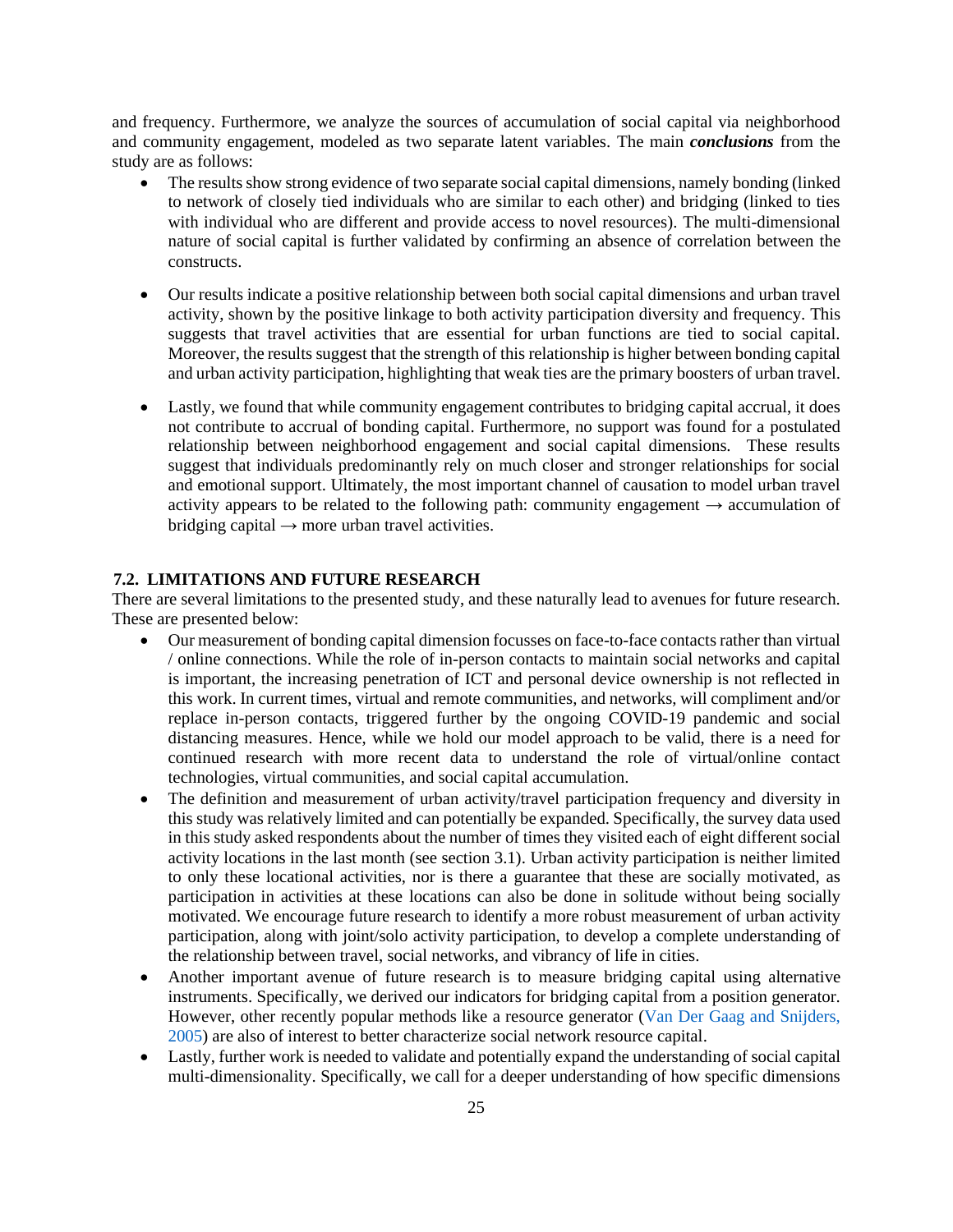and frequency. Furthermore, we analyze the sources of accumulation of social capital via neighborhood and community engagement, modeled as two separate latent variables. The main *conclusions* from the study are as follows:

- The results show strong evidence of two separate social capital dimensions, namely bonding (linked to network of closely tied individuals who are similar to each other) and bridging (linked to ties with individual who are different and provide access to novel resources). The multi-dimensional nature of social capital is further validated by confirming an absence of correlation between the constructs.
- Our results indicate a positive relationship between both social capital dimensions and urban travel activity, shown by the positive linkage to both activity participation diversity and frequency. This suggests that travel activities that are essential for urban functions are tied to social capital. Moreover, the results suggest that the strength of this relationship is higher between bonding capital and urban activity participation, highlighting that weak ties are the primary boosters of urban travel.
- Lastly, we found that while community engagement contributes to bridging capital accrual, it does not contribute to accrual of bonding capital. Furthermore, no support was found for a postulated relationship between neighborhood engagement and social capital dimensions. These results suggest that individuals predominantly rely on much closer and stronger relationships for social and emotional support. Ultimately, the most important channel of causation to model urban travel activity appears to be related to the following path: community engagement  $\rightarrow$  accumulation of bridging capital  $\rightarrow$  more urban travel activities.

#### **7.2. LIMITATIONS AND FUTURE RESEARCH**

There are several limitations to the presented study, and these naturally lead to avenues for future research. These are presented below:

- Our measurement of bonding capital dimension focusses on face-to-face contacts rather than virtual / online connections. While the role of in-person contacts to maintain social networks and capital is important, the increasing penetration of ICT and personal device ownership is not reflected in this work. In current times, virtual and remote communities, and networks, will compliment and/or replace in-person contacts, triggered further by the ongoing COVID-19 pandemic and social distancing measures. Hence, while we hold our model approach to be valid, there is a need for continued research with more recent data to understand the role of virtual/online contact technologies, virtual communities, and social capital accumulation.
- The definition and measurement of urban activity/travel participation frequency and diversity in this study was relatively limited and can potentially be expanded. Specifically, the survey data used in this study asked respondents about the number of times they visited each of eight different social activity locations in the last month (see section 3.1). Urban activity participation is neither limited to only these locational activities, nor is there a guarantee that these are socially motivated, as participation in activities at these locations can also be done in solitude without being socially motivated. We encourage future research to identify a more robust measurement of urban activity participation, along with joint/solo activity participation, to develop a complete understanding of the relationship between travel, social networks, and vibrancy of life in cities.
- Another important avenue of future research is to measure bridging capital using alternative instruments. Specifically, we derived our indicators for bridging capital from a position generator. However, other recently popular methods like a resource generator [\(Van Der Gaag and Snijders,](#page-31-1)  [2005\)](#page-31-1) are also of interest to better characterize social network resource capital.
- Lastly, further work is needed to validate and potentially expand the understanding of social capital multi-dimensionality. Specifically, we call for a deeper understanding of how specific dimensions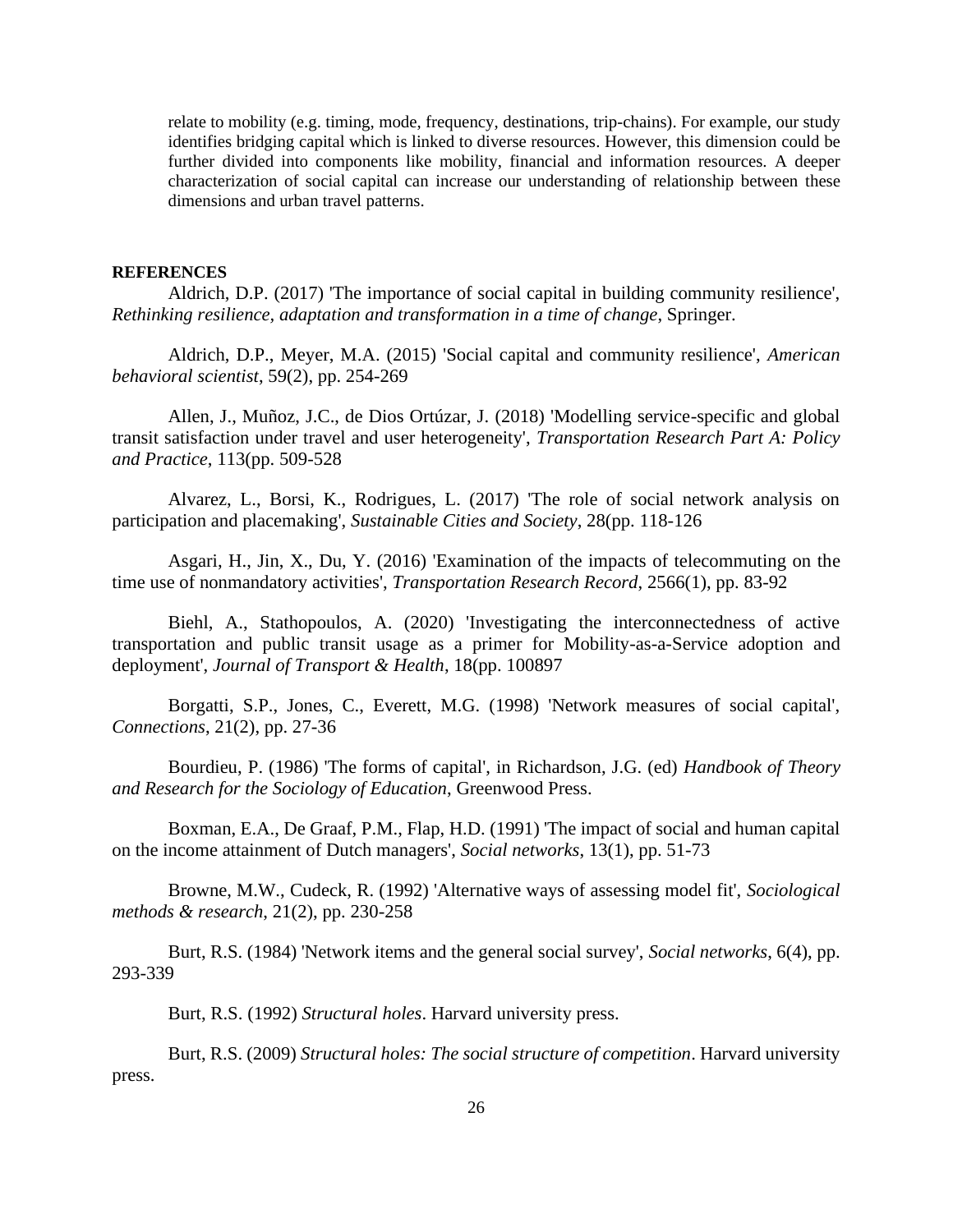relate to mobility (e.g. timing, mode, frequency, destinations, trip-chains). For example, our study identifies bridging capital which is linked to diverse resources. However, this dimension could be further divided into components like mobility, financial and information resources. A deeper characterization of social capital can increase our understanding of relationship between these dimensions and urban travel patterns.

#### **REFERENCES**

<span id="page-26-2"></span>Aldrich, D.P. (2017) 'The importance of social capital in building community resilience', *Rethinking resilience, adaptation and transformation in a time of change*, Springer.

<span id="page-26-3"></span>Aldrich, D.P., Meyer, M.A. (2015) 'Social capital and community resilience', *American behavioral scientist*, 59(2), pp. 254-269

<span id="page-26-11"></span>Allen, J., Muñoz, J.C., de Dios Ortúzar, J. (2018) 'Modelling service-specific and global transit satisfaction under travel and user heterogeneity', *Transportation Research Part A: Policy and Practice*, 113(pp. 509-528

<span id="page-26-0"></span>Alvarez, L., Borsi, K., Rodrigues, L. (2017) 'The role of social network analysis on participation and placemaking', *Sustainable Cities and Society*, 28(pp. 118-126

<span id="page-26-9"></span>Asgari, H., Jin, X., Du, Y. (2016) 'Examination of the impacts of telecommuting on the time use of nonmandatory activities', *Transportation Research Record*, 2566(1), pp. 83-92

<span id="page-26-12"></span>Biehl, A., Stathopoulos, A. (2020) 'Investigating the interconnectedness of active transportation and public transit usage as a primer for Mobility-as-a-Service adoption and deployment', *Journal of Transport & Health*, 18(pp. 100897

<span id="page-26-4"></span>Borgatti, S.P., Jones, C., Everett, M.G. (1998) 'Network measures of social capital', *Connections*, 21(2), pp. 27-36

<span id="page-26-5"></span>Bourdieu, P. (1986) 'The forms of capital', in Richardson, J.G. (ed) *Handbook of Theory and Research for the Sociology of Education*, Greenwood Press.

<span id="page-26-1"></span>Boxman, E.A., De Graaf, P.M., Flap, H.D. (1991) 'The impact of social and human capital on the income attainment of Dutch managers', *Social networks*, 13(1), pp. 51-73

<span id="page-26-10"></span>Browne, M.W., Cudeck, R. (1992) 'Alternative ways of assessing model fit', *Sociological methods & research*, 21(2), pp. 230-258

<span id="page-26-8"></span>Burt, R.S. (1984) 'Network items and the general social survey', *Social networks*, 6(4), pp. 293-339

Burt, R.S. (1992) *Structural holes*. Harvard university press.

<span id="page-26-7"></span><span id="page-26-6"></span>Burt, R.S. (2009) *Structural holes: The social structure of competition*. Harvard university press.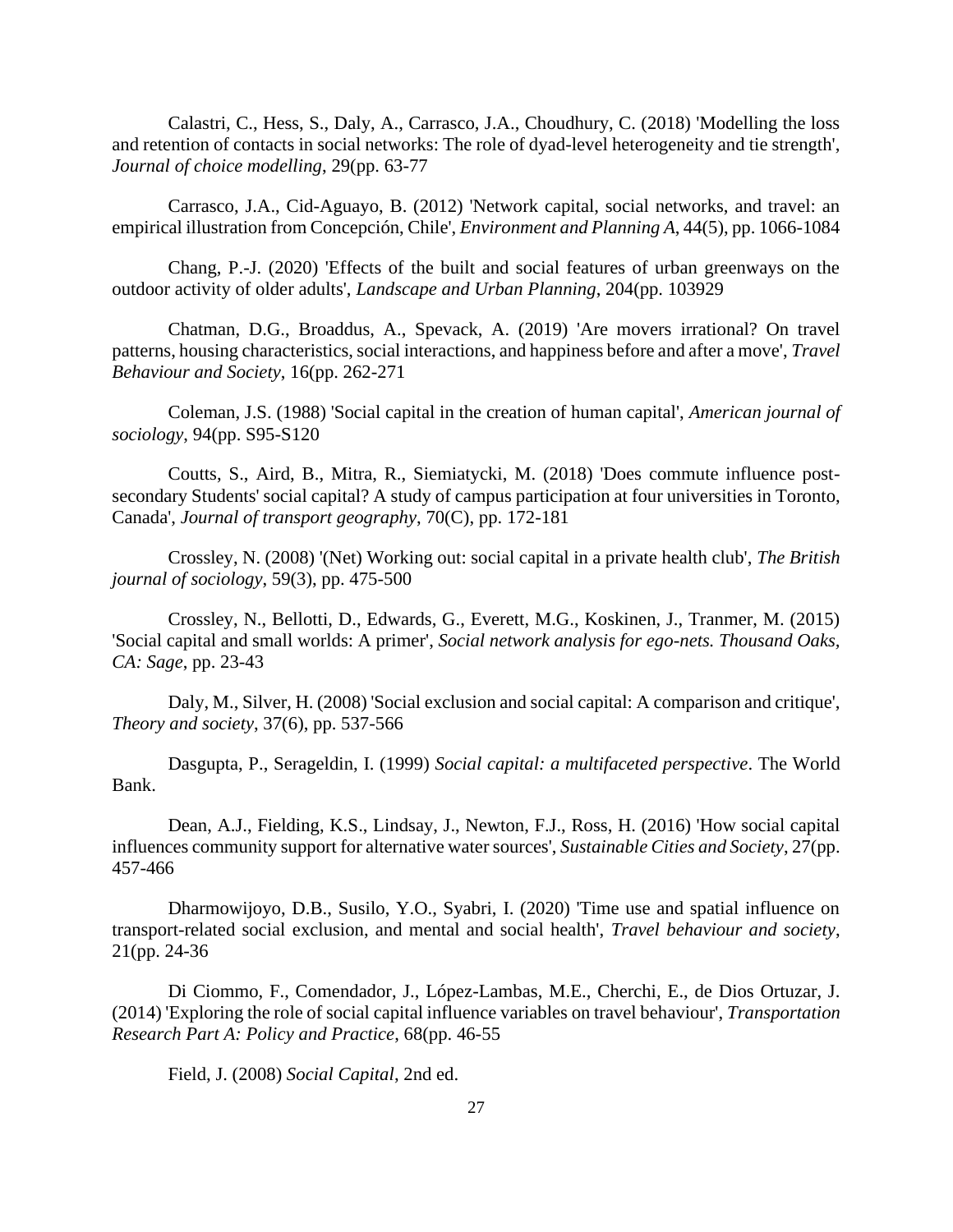<span id="page-27-11"></span><span id="page-27-10"></span><span id="page-27-3"></span>Calastri, C., Hess, S., Daly, A., Carrasco, J.A., Choudhury, C. (2018) 'Modelling the loss and retention of contacts in social networks: The role of dyad-level heterogeneity and tie strength', *Journal of choice modelling*, 29(pp. 63-77

<span id="page-27-12"></span>Carrasco, J.A., Cid-Aguayo, B. (2012) 'Network capital, social networks, and travel: an empirical illustration from Concepción, Chile', *Environment and Planning A*, 44(5), pp. 1066-1084

Chang, P.-J. (2020) 'Effects of the built and social features of urban greenways on the outdoor activity of older adults', *Landscape and Urban Planning*, 204(pp. 103929

<span id="page-27-14"></span>Chatman, D.G., Broaddus, A., Spevack, A. (2019) 'Are movers irrational? On travel patterns, housing characteristics, social interactions, and happiness before and after a move', *Travel Behaviour and Society*, 16(pp. 262-271

<span id="page-27-9"></span>Coleman, J.S. (1988) 'Social capital in the creation of human capital', *American journal of sociology*, 94(pp. S95-S120

<span id="page-27-2"></span>Coutts, S., Aird, B., Mitra, R., Siemiatycki, M. (2018) 'Does commute influence postsecondary Students' social capital? A study of campus participation at four universities in Toronto, Canada', *Journal of transport geography*, 70(C), pp. 172-181

<span id="page-27-7"></span>Crossley, N. (2008) '(Net) Working out: social capital in a private health club', *The British journal of sociology*, 59(3), pp. 475-500

<span id="page-27-8"></span>Crossley, N., Bellotti, D., Edwards, G., Everett, M.G., Koskinen, J., Tranmer, M. (2015) 'Social capital and small worlds: A primer', *Social network analysis for ego-nets. Thousand Oaks, CA: Sage*, pp. 23-43

<span id="page-27-13"></span><span id="page-27-5"></span>Daly, M., Silver, H. (2008) 'Social exclusion and social capital: A comparison and critique', *Theory and society*, 37(6), pp. 537-566

<span id="page-27-0"></span>Dasgupta, P., Serageldin, I. (1999) *Social capital: a multifaceted perspective*. The World Bank.

<span id="page-27-1"></span>Dean, A.J., Fielding, K.S., Lindsay, J., Newton, F.J., Ross, H. (2016) 'How social capital influences community support for alternative water sources', *Sustainable Cities and Society*, 27(pp. 457-466

<span id="page-27-15"></span>Dharmowijoyo, D.B., Susilo, Y.O., Syabri, I. (2020) 'Time use and spatial influence on transport-related social exclusion, and mental and social health', *Travel behaviour and society*, 21(pp. 24-36

<span id="page-27-4"></span>Di Ciommo, F., Comendador, J., López-Lambas, M.E., Cherchi, E., de Dios Ortuzar, J. (2014) 'Exploring the role of social capital influence variables on travel behaviour', *Transportation Research Part A: Policy and Practice*, 68(pp. 46-55

<span id="page-27-6"></span>Field, J. (2008) *Social Capital*, 2nd ed.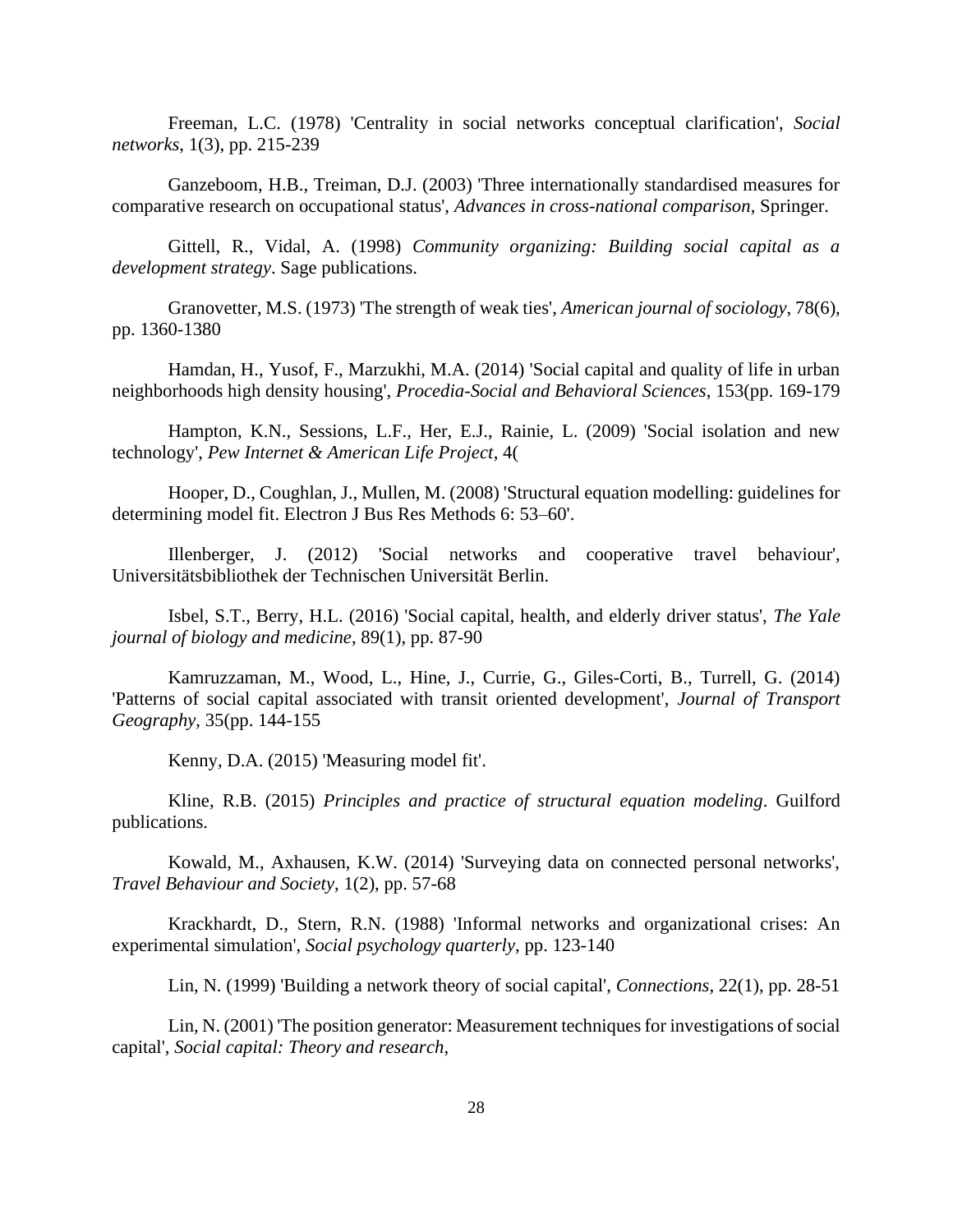<span id="page-28-5"></span>Freeman, L.C. (1978) 'Centrality in social networks conceptual clarification', *Social networks*, 1(3), pp. 215-239

<span id="page-28-12"></span>Ganzeboom, H.B., Treiman, D.J. (2003) 'Three internationally standardised measures for comparative research on occupational status', *Advances in cross-national comparison*, Springer.

<span id="page-28-4"></span>Gittell, R., Vidal, A. (1998) *Community organizing: Building social capital as a development strategy*. Sage publications.

<span id="page-28-6"></span><span id="page-28-3"></span>Granovetter, M.S. (1973) 'The strength of weak ties', *American journal of sociology*, 78(6), pp. 1360-1380

<span id="page-28-7"></span><span id="page-28-0"></span>Hamdan, H., Yusof, F., Marzukhi, M.A. (2014) 'Social capital and quality of life in urban neighborhoods high density housing', *Procedia-Social and Behavioral Sciences*, 153(pp. 169-179

<span id="page-28-2"></span>Hampton, K.N., Sessions, L.F., Her, E.J., Rainie, L. (2009) 'Social isolation and new technology', *Pew Internet & American Life Project*, 4(

<span id="page-28-13"></span>Hooper, D., Coughlan, J., Mullen, M. (2008) 'Structural equation modelling: guidelines for determining model fit. Electron J Bus Res Methods 6: 53–60'.

<span id="page-28-15"></span>Illenberger, J. (2012) 'Social networks and cooperative travel behaviour', Universitätsbibliothek der Technischen Universität Berlin.

Isbel, S.T., Berry, H.L. (2016) 'Social capital, health, and elderly driver status', *The Yale journal of biology and medicine*, 89(1), pp. 87-90

Kamruzzaman, M., Wood, L., Hine, J., Currie, G., Giles-Corti, B., Turrell, G. (2014) 'Patterns of social capital associated with transit oriented development', *Journal of Transport Geography*, 35(pp. 144-155

Kenny, D.A. (2015) 'Measuring model fit'.

<span id="page-28-14"></span><span id="page-28-10"></span>Kline, R.B. (2015) *Principles and practice of structural equation modeling*. Guilford publications.

<span id="page-28-8"></span>Kowald, M., Axhausen, K.W. (2014) 'Surveying data on connected personal networks', *Travel Behaviour and Society*, 1(2), pp. 57-68

<span id="page-28-11"></span>Krackhardt, D., Stern, R.N. (1988) 'Informal networks and organizational crises: An experimental simulation', *Social psychology quarterly*, pp. 123-140

Lin, N. (1999) 'Building a network theory of social capital', *Connections*, 22(1), pp. 28-51

<span id="page-28-9"></span><span id="page-28-1"></span>Lin, N. (2001) 'The position generator: Measurement techniques for investigations of social capital', *Social capital: Theory and research*,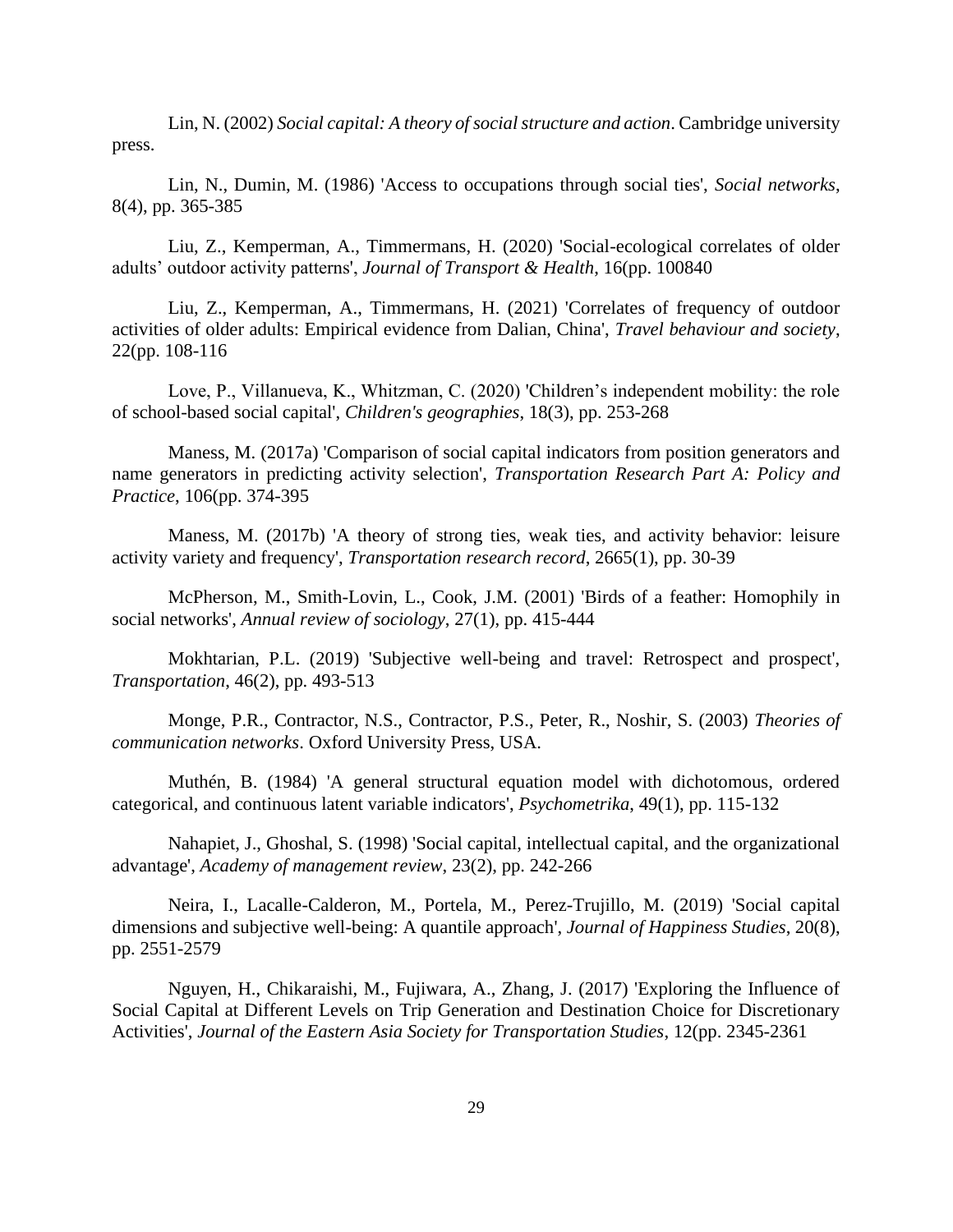<span id="page-29-12"></span><span id="page-29-11"></span><span id="page-29-10"></span><span id="page-29-0"></span>Lin, N. (2002) *Social capital: A theory of social structure and action*. Cambridge university press.

<span id="page-29-13"></span><span id="page-29-8"></span>Lin, N., Dumin, M. (1986) 'Access to occupations through social ties', *Social networks*, 8(4), pp. 365-385

<span id="page-29-14"></span><span id="page-29-9"></span>Liu, Z., Kemperman, A., Timmermans, H. (2020) 'Social-ecological correlates of older adults' outdoor activity patterns', *Journal of Transport & Health*, 16(pp. 100840

Liu, Z., Kemperman, A., Timmermans, H. (2021) 'Correlates of frequency of outdoor activities of older adults: Empirical evidence from Dalian, China', *Travel behaviour and society*, 22(pp. 108-116

Love, P., Villanueva, K., Whitzman, C. (2020) 'Children's independent mobility: the role of school-based social capital', *Children's geographies*, 18(3), pp. 253-268

<span id="page-29-2"></span>Maness, M. (2017a) 'Comparison of social capital indicators from position generators and name generators in predicting activity selection', *Transportation Research Part A: Policy and Practice*, 106(pp. 374-395

<span id="page-29-3"></span>Maness, M. (2017b) 'A theory of strong ties, weak ties, and activity behavior: leisure activity variety and frequency', *Transportation research record*, 2665(1), pp. 30-39

<span id="page-29-6"></span>McPherson, M., Smith-Lovin, L., Cook, J.M. (2001) 'Birds of a feather: Homophily in social networks', *Annual review of sociology*, 27(1), pp. 415-444

<span id="page-29-17"></span>Mokhtarian, P.L. (2019) 'Subjective well-being and travel: Retrospect and prospect', *Transportation*, 46(2), pp. 493-513

<span id="page-29-15"></span><span id="page-29-7"></span>Monge, P.R., Contractor, N.S., Contractor, P.S., Peter, R., Noshir, S. (2003) *Theories of communication networks*. Oxford University Press, USA.

<span id="page-29-16"></span>Muthén, B. (1984) 'A general structural equation model with dichotomous, ordered categorical, and continuous latent variable indicators', *Psychometrika*, 49(1), pp. 115-132

<span id="page-29-1"></span>Nahapiet, J., Ghoshal, S. (1998) 'Social capital, intellectual capital, and the organizational advantage', *Academy of management review*, 23(2), pp. 242-266

<span id="page-29-5"></span>Neira, I., Lacalle-Calderon, M., Portela, M., Perez-Trujillo, M. (2019) 'Social capital dimensions and subjective well-being: A quantile approach', *Journal of Happiness Studies*, 20(8), pp. 2551-2579

<span id="page-29-4"></span>Nguyen, H., Chikaraishi, M., Fujiwara, A., Zhang, J. (2017) 'Exploring the Influence of Social Capital at Different Levels on Trip Generation and Destination Choice for Discretionary Activities', *Journal of the Eastern Asia Society for Transportation Studies*, 12(pp. 2345-2361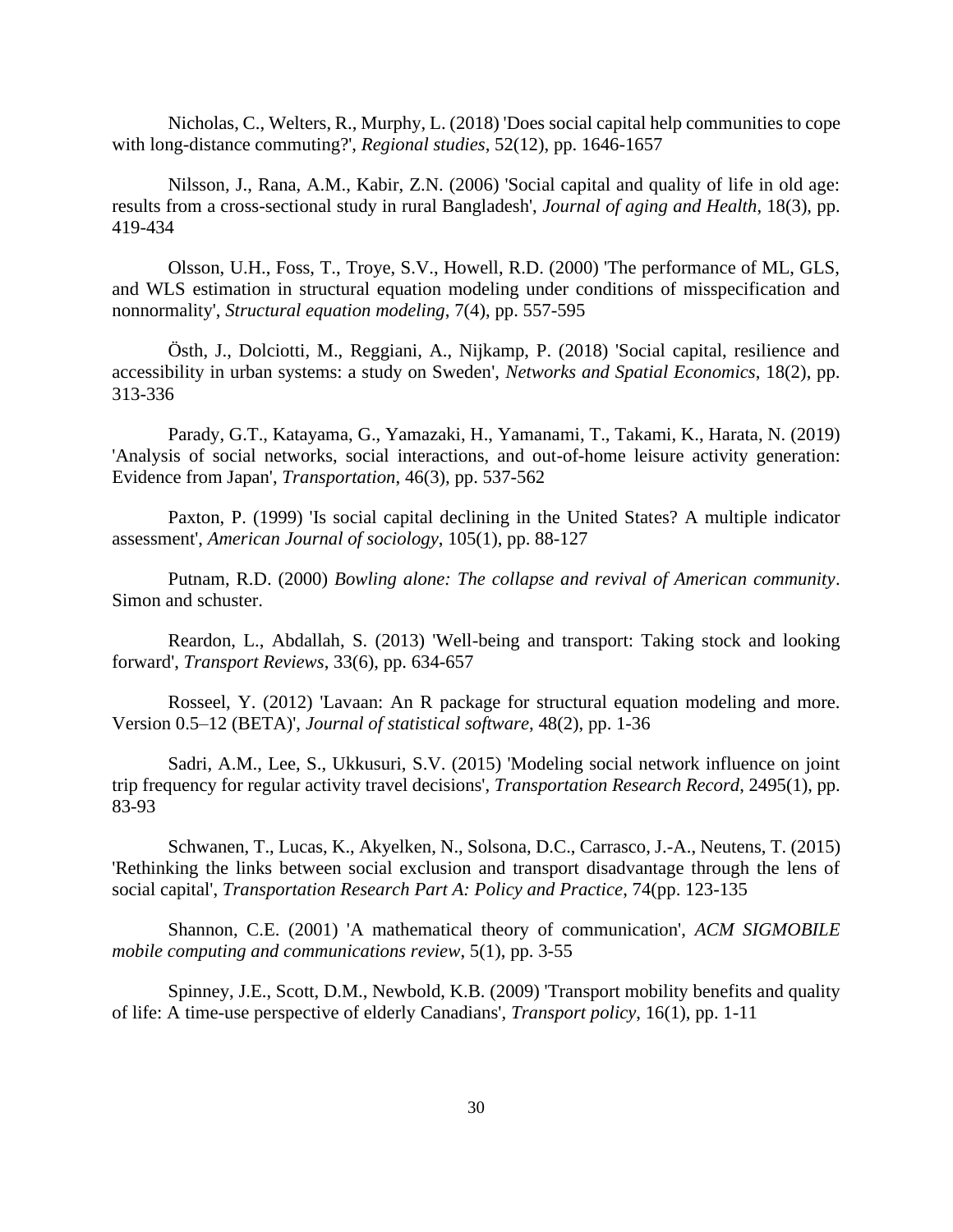<span id="page-30-8"></span><span id="page-30-7"></span><span id="page-30-5"></span>Nicholas, C., Welters, R., Murphy, L. (2018) 'Does social capital help communities to cope with long-distance commuting?', *Regional studies*, 52(12), pp. 1646-1657

<span id="page-30-0"></span>Nilsson, J., Rana, A.M., Kabir, Z.N. (2006) 'Social capital and quality of life in old age: results from a cross-sectional study in rural Bangladesh', *Journal of aging and Health*, 18(3), pp. 419-434

<span id="page-30-12"></span>Olsson, U.H., Foss, T., Troye, S.V., Howell, R.D. (2000) 'The performance of ML, GLS, and WLS estimation in structural equation modeling under conditions of misspecification and nonnormality', *Structural equation modeling*, 7(4), pp. 557-595

<span id="page-30-1"></span>Östh, J., Dolciotti, M., Reggiani, A., Nijkamp, P. (2018) 'Social capital, resilience and accessibility in urban systems: a study on Sweden', *Networks and Spatial Economics*, 18(2), pp. 313-336

Parady, G.T., Katayama, G., Yamazaki, H., Yamanami, T., Takami, K., Harata, N. (2019) 'Analysis of social networks, social interactions, and out-of-home leisure activity generation: Evidence from Japan', *Transportation*, 46(3), pp. 537-562

<span id="page-30-9"></span><span id="page-30-3"></span>Paxton, P. (1999) 'Is social capital declining in the United States? A multiple indicator assessment', *American Journal of sociology*, 105(1), pp. 88-127

<span id="page-30-10"></span><span id="page-30-4"></span>Putnam, R.D. (2000) *Bowling alone: The collapse and revival of American community*. Simon and schuster.

<span id="page-30-14"></span>Reardon, L., Abdallah, S. (2013) 'Well-being and transport: Taking stock and looking forward', *Transport Reviews*, 33(6), pp. 634-657

<span id="page-30-11"></span>Rosseel, Y. (2012) 'Lavaan: An R package for structural equation modeling and more. Version 0.5–12 (BETA)', *Journal of statistical software*, 48(2), pp. 1-36

<span id="page-30-6"></span>Sadri, A.M., Lee, S., Ukkusuri, S.V. (2015) 'Modeling social network influence on joint trip frequency for regular activity travel decisions', *Transportation Research Record*, 2495(1), pp. 83-93

<span id="page-30-2"></span>Schwanen, T., Lucas, K., Akyelken, N., Solsona, D.C., Carrasco, J.-A., Neutens, T. (2015) 'Rethinking the links between social exclusion and transport disadvantage through the lens of social capital', *Transportation Research Part A: Policy and Practice*, 74(pp. 123-135

<span id="page-30-13"></span>Shannon, C.E. (2001) 'A mathematical theory of communication', *ACM SIGMOBILE mobile computing and communications review*, 5(1), pp. 3-55

<span id="page-30-15"></span>Spinney, J.E., Scott, D.M., Newbold, K.B. (2009) 'Transport mobility benefits and quality of life: A time-use perspective of elderly Canadians', *Transport policy*, 16(1), pp. 1-11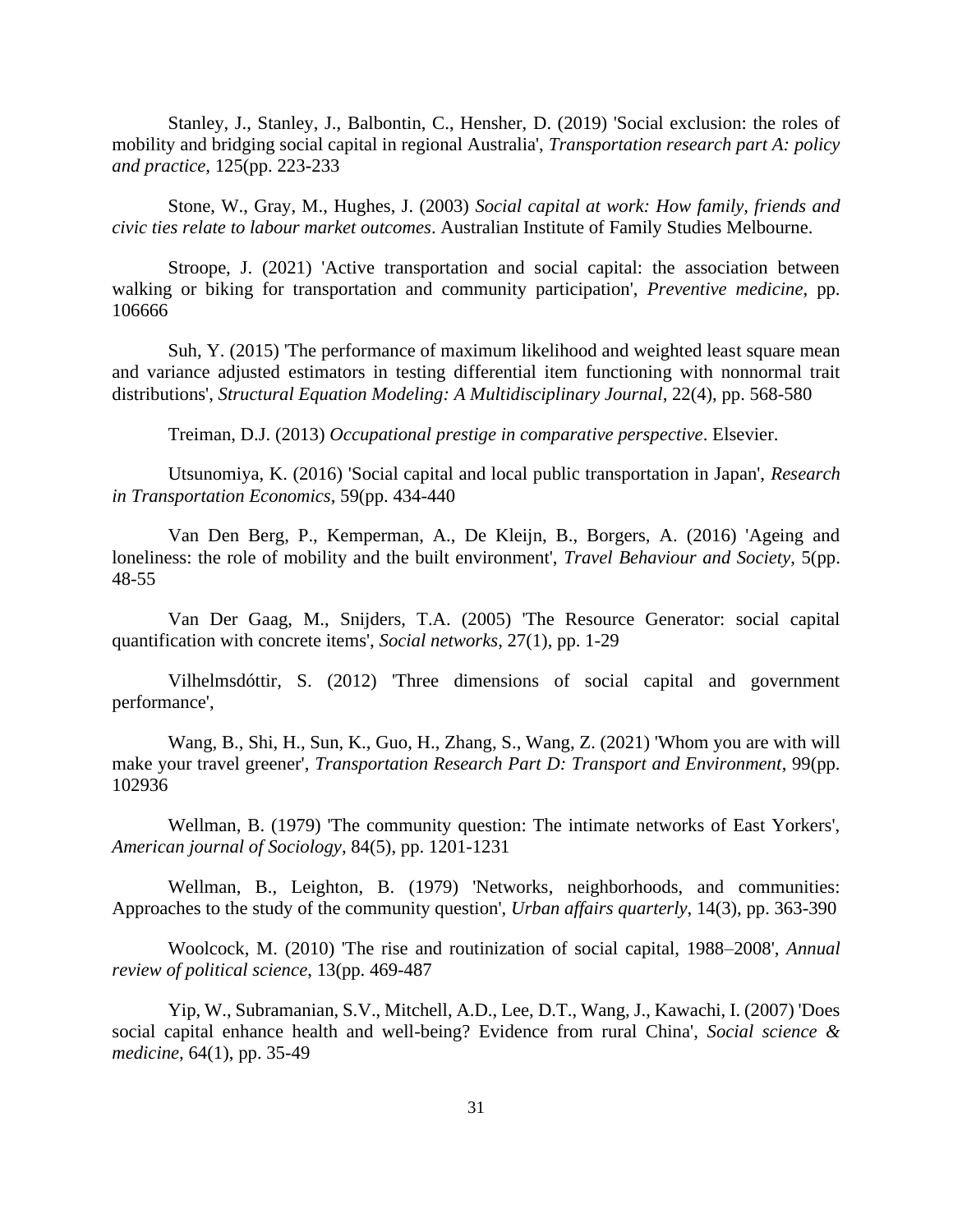<span id="page-31-8"></span><span id="page-31-7"></span><span id="page-31-4"></span>Stanley, J., Stanley, J., Balbontin, C., Hensher, D. (2019) 'Social exclusion: the roles of mobility and bridging social capital in regional Australia', *Transportation research part A: policy and practice*, 125(pp. 223-233

<span id="page-31-9"></span><span id="page-31-5"></span>Stone, W., Gray, M., Hughes, J. (2003) *Social capital at work: How family, friends and civic ties relate to labour market outcomes*. Australian Institute of Family Studies Melbourne.

Stroope, J. (2021) 'Active transportation and social capital: the association between walking or biking for transportation and community participation', *Preventive medicine*, pp. 106666

<span id="page-31-11"></span>Suh, Y. (2015) 'The performance of maximum likelihood and weighted least square mean and variance adjusted estimators in testing differential item functioning with nonnormal trait distributions', *Structural Equation Modeling: A Multidisciplinary Journal*, 22(4), pp. 568-580

Treiman, D.J. (2013) *Occupational prestige in comparative perspective*. Elsevier.

<span id="page-31-12"></span><span id="page-31-10"></span>Utsunomiya, K. (2016) 'Social capital and local public transportation in Japan', *Research in Transportation Economics*, 59(pp. 434-440

<span id="page-31-15"></span>Van Den Berg, P., Kemperman, A., De Kleijn, B., Borgers, A. (2016) 'Ageing and loneliness: the role of mobility and the built environment', *Travel Behaviour and Society*, 5(pp. 48-55

<span id="page-31-1"></span>Van Der Gaag, M., Snijders, T.A. (2005) 'The Resource Generator: social capital quantification with concrete items', *Social networks*, 27(1), pp. 1-29

<span id="page-31-3"></span>Vilhelmsdóttir, S. (2012) 'Three dimensions of social capital and government performance',

<span id="page-31-6"></span>Wang, B., Shi, H., Sun, K., Guo, H., Zhang, S., Wang, Z. (2021) 'Whom you are with will make your travel greener', *Transportation Research Part D: Transport and Environment*, 99(pp. 102936

<span id="page-31-13"></span>Wellman, B. (1979) 'The community question: The intimate networks of East Yorkers', *American journal of Sociology*, 84(5), pp. 1201-1231

<span id="page-31-14"></span>Wellman, B., Leighton, B. (1979) 'Networks, neighborhoods, and communities: Approaches to the study of the community question', *Urban affairs quarterly*, 14(3), pp. 363-390

<span id="page-31-2"></span>Woolcock, M. (2010) 'The rise and routinization of social capital, 1988–2008', *Annual review of political science*, 13(pp. 469-487

<span id="page-31-0"></span>Yip, W., Subramanian, S.V., Mitchell, A.D., Lee, D.T., Wang, J., Kawachi, I. (2007) 'Does social capital enhance health and well-being? Evidence from rural China', *Social science & medicine*, 64(1), pp. 35-49